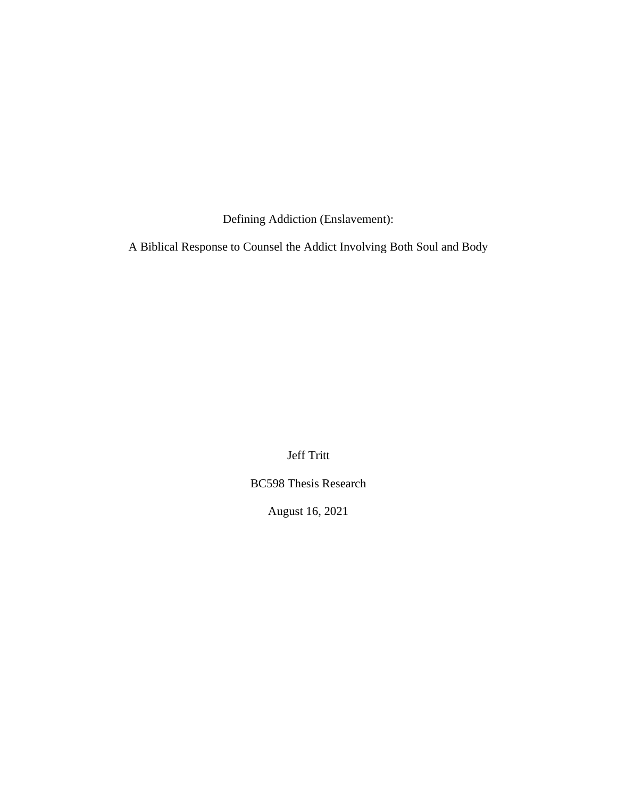Defining Addiction (Enslavement):

A Biblical Response to Counsel the Addict Involving Both Soul and Body

Jeff Tritt

BC598 Thesis Research

August 16, 2021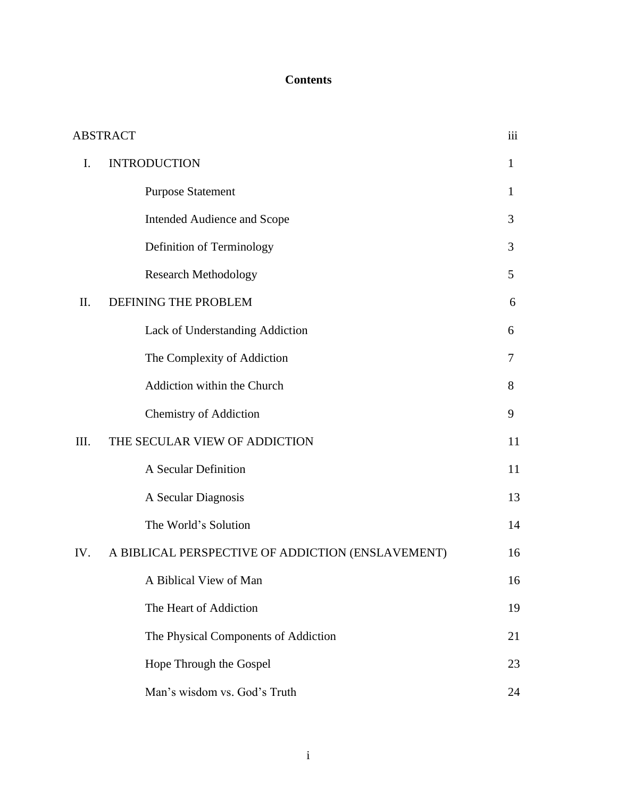# **Contents**

|      | <b>ABSTRACT</b>                                   | iii |
|------|---------------------------------------------------|-----|
| I.   | <b>INTRODUCTION</b>                               | 1   |
|      | <b>Purpose Statement</b>                          | 1   |
|      | Intended Audience and Scope                       | 3   |
|      | Definition of Terminology                         | 3   |
|      | <b>Research Methodology</b>                       | 5   |
| Π.   | DEFINING THE PROBLEM                              | 6   |
|      | Lack of Understanding Addiction                   | 6   |
|      | The Complexity of Addiction                       | 7   |
|      | Addiction within the Church                       | 8   |
|      | <b>Chemistry of Addiction</b>                     | 9   |
| III. | THE SECULAR VIEW OF ADDICTION                     | 11  |
|      | A Secular Definition                              | 11  |
|      | A Secular Diagnosis                               | 13  |
|      | The World's Solution                              | 14  |
| IV.  | A BIBLICAL PERSPECTIVE OF ADDICTION (ENSLAVEMENT) | 16  |
|      | A Biblical View of Man                            | 16  |
|      | The Heart of Addiction                            | 19  |
|      | The Physical Components of Addiction              | 21  |
|      | Hope Through the Gospel                           | 23  |
|      | Man's wisdom vs. God's Truth                      | 24  |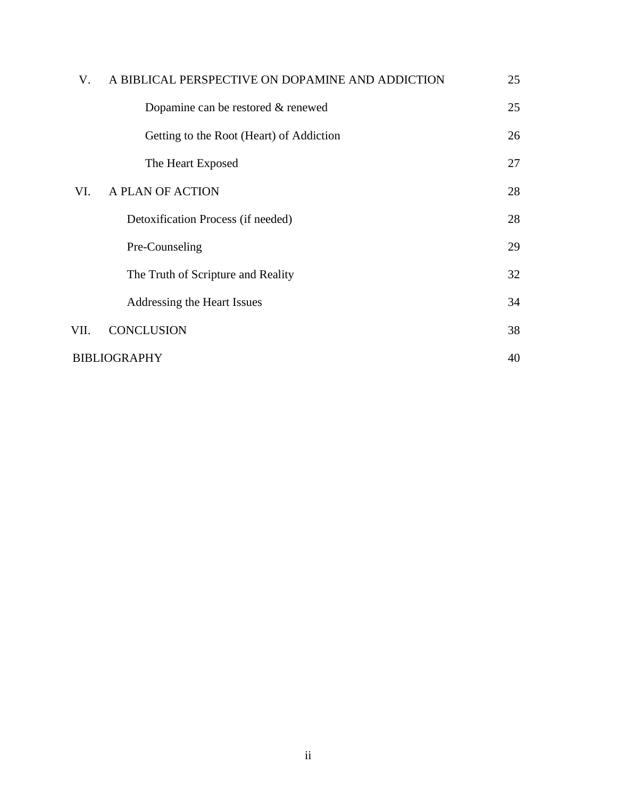| V.                  | A BIBLICAL PERSPECTIVE ON DOPAMINE AND ADDICTION | 25 |
|---------------------|--------------------------------------------------|----|
|                     | Dopamine can be restored & renewed               | 25 |
|                     | Getting to the Root (Heart) of Addiction         | 26 |
|                     | The Heart Exposed                                | 27 |
| VI.                 | A PLAN OF ACTION                                 | 28 |
|                     | Detoxification Process (if needed)               | 28 |
|                     | Pre-Counseling                                   | 29 |
|                     | The Truth of Scripture and Reality               | 32 |
|                     | Addressing the Heart Issues                      | 34 |
| VII.                | <b>CONCLUSION</b>                                | 38 |
| <b>BIBLIOGRAPHY</b> |                                                  |    |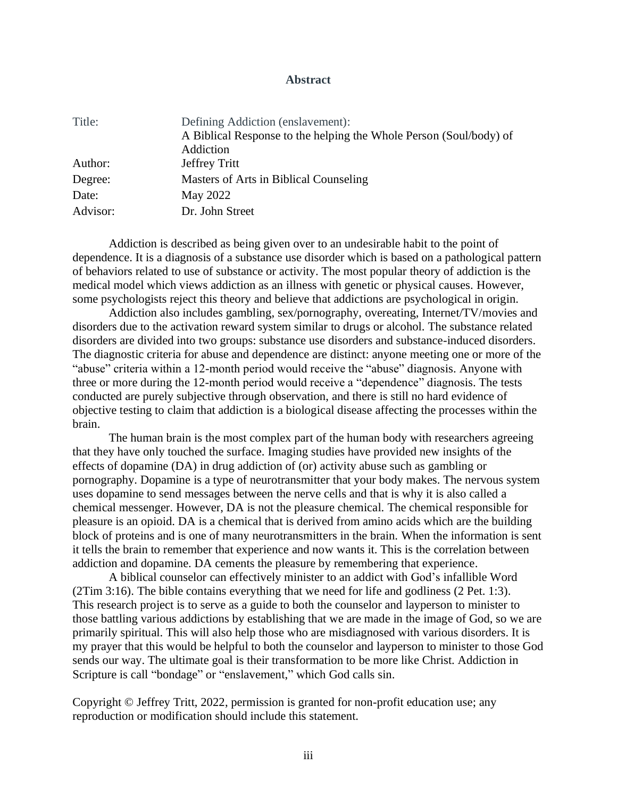#### **Abstract**

| Title:   | Defining Addiction (enslavement):                                  |
|----------|--------------------------------------------------------------------|
|          | A Biblical Response to the helping the Whole Person (Soul/body) of |
|          | Addiction                                                          |
| Author:  | Jeffrey Tritt                                                      |
| Degree:  | Masters of Arts in Biblical Counseling                             |
| Date:    | May 2022                                                           |
| Advisor: | Dr. John Street                                                    |

Addiction is described as being given over to an undesirable habit to the point of dependence. It is a diagnosis of a substance use disorder which is based on a pathological pattern of behaviors related to use of substance or activity. The most popular theory of addiction is the medical model which views addiction as an illness with genetic or physical causes. However, some psychologists reject this theory and believe that addictions are psychological in origin.

Addiction also includes gambling, sex/pornography, overeating, Internet/TV/movies and disorders due to the activation reward system similar to drugs or alcohol. The substance related disorders are divided into two groups: substance use disorders and substance-induced disorders. The diagnostic criteria for abuse and dependence are distinct: anyone meeting one or more of the "abuse" criteria within a 12-month period would receive the "abuse" diagnosis. Anyone with three or more during the 12-month period would receive a "dependence" diagnosis. The tests conducted are purely subjective through observation, and there is still no hard evidence of objective testing to claim that addiction is a biological disease affecting the processes within the brain.

The human brain is the most complex part of the human body with researchers agreeing that they have only touched the surface. Imaging studies have provided new insights of the effects of dopamine (DA) in drug addiction of (or) activity abuse such as gambling or pornography. Dopamine is a type of neurotransmitter that your body makes. The nervous system uses dopamine to send messages between the nerve cells and that is why it is also called a chemical messenger. However, DA is not the pleasure chemical. The chemical responsible for pleasure is an opioid. DA is a chemical that is derived from amino acids which are the building block of proteins and is one of many neurotransmitters in the brain. When the information is sent it tells the brain to remember that experience and now wants it. This is the correlation between addiction and dopamine. DA cements the pleasure by remembering that experience.

A biblical counselor can effectively minister to an addict with God's infallible Word (2Tim 3:16). The bible contains everything that we need for life and godliness (2 Pet. 1:3). This research project is to serve as a guide to both the counselor and layperson to minister to those battling various addictions by establishing that we are made in the image of God, so we are primarily spiritual. This will also help those who are misdiagnosed with various disorders. It is my prayer that this would be helpful to both the counselor and layperson to minister to those God sends our way. The ultimate goal is their transformation to be more like Christ. Addiction in Scripture is call "bondage" or "enslavement," which God calls sin.

Copyright © Jeffrey Tritt, 2022, permission is granted for non-profit education use; any reproduction or modification should include this statement.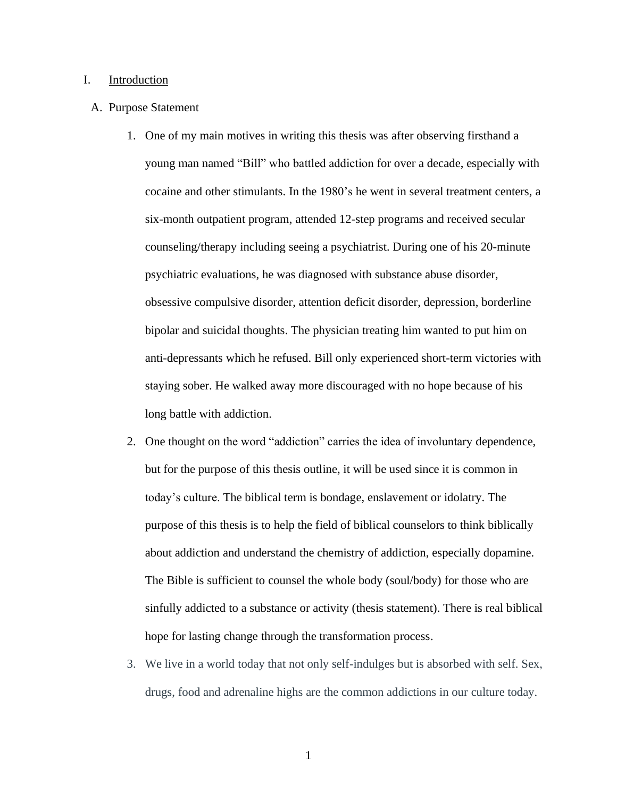#### I. Introduction

#### A. Purpose Statement

- 1. One of my main motives in writing this thesis was after observing firsthand a young man named "Bill" who battled addiction for over a decade, especially with cocaine and other stimulants. In the 1980's he went in several treatment centers, a six-month outpatient program, attended 12-step programs and received secular counseling/therapy including seeing a psychiatrist. During one of his 20-minute psychiatric evaluations, he was diagnosed with substance abuse disorder, obsessive compulsive disorder, attention deficit disorder, depression, borderline bipolar and suicidal thoughts. The physician treating him wanted to put him on anti-depressants which he refused. Bill only experienced short-term victories with staying sober. He walked away more discouraged with no hope because of his long battle with addiction.
- 2. One thought on the word "addiction" carries the idea of involuntary dependence, but for the purpose of this thesis outline, it will be used since it is common in today's culture. The biblical term is bondage, enslavement or idolatry. The purpose of this thesis is to help the field of biblical counselors to think biblically about addiction and understand the chemistry of addiction, especially dopamine. The Bible is sufficient to counsel the whole body (soul/body) for those who are sinfully addicted to a substance or activity (thesis statement). There is real biblical hope for lasting change through the transformation process.
- 3. We live in a world today that not only self-indulges but is absorbed with self. Sex, drugs, food and adrenaline highs are the common addictions in our culture today.

1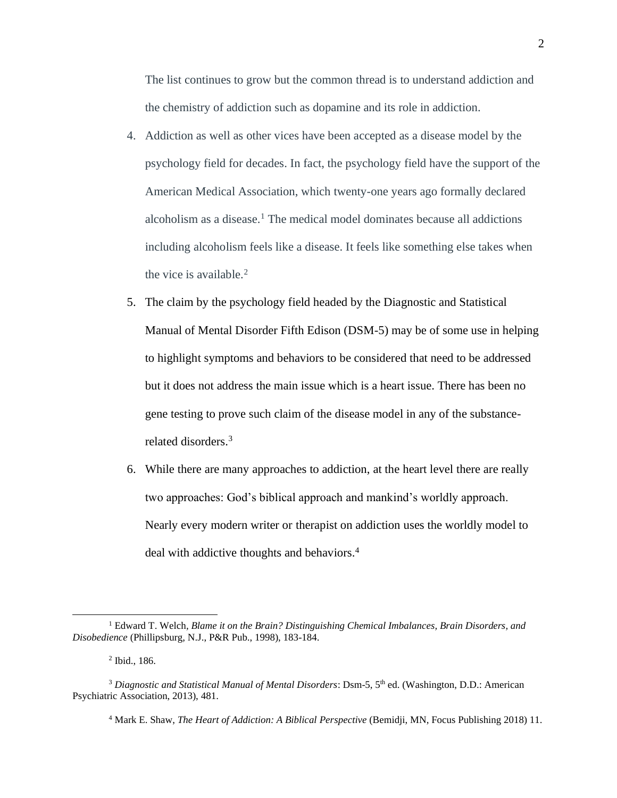The list continues to grow but the common thread is to understand addiction and the chemistry of addiction such as dopamine and its role in addiction.

- 4. Addiction as well as other vices have been accepted as a disease model by the psychology field for decades. In fact, the psychology field have the support of the American Medical Association, which twenty-one years ago formally declared alcoholism as a disease.<sup>1</sup> The medical model dominates because all addictions including alcoholism feels like a disease. It feels like something else takes when the vice is available. $<sup>2</sup>$ </sup>
- 5. The claim by the psychology field headed by the Diagnostic and Statistical Manual of Mental Disorder Fifth Edison (DSM-5) may be of some use in helping to highlight symptoms and behaviors to be considered that need to be addressed but it does not address the main issue which is a heart issue. There has been no gene testing to prove such claim of the disease model in any of the substancerelated disorders.<sup>3</sup>
- 6. While there are many approaches to addiction, at the heart level there are really two approaches: God's biblical approach and mankind's worldly approach. Nearly every modern writer or therapist on addiction uses the worldly model to deal with addictive thoughts and behaviors.<sup>4</sup>

<sup>1</sup> Edward T. Welch*, Blame it on the Brain? Distinguishing Chemical Imbalances, Brain Disorders, and Disobedience* (Phillipsburg, N.J., P&R Pub., 1998), 183-184.

<sup>2</sup> Ibid., 186.

<sup>&</sup>lt;sup>3</sup> Diagnostic and Statistical Manual of Mental Disorders: Dsm-5, 5<sup>th</sup> ed. (Washington, D.D.: American Psychiatric Association, 2013), 481.

<sup>4</sup> Mark E. Shaw, *The Heart of Addiction: A Biblical Perspective* (Bemidji, MN, Focus Publishing 2018) 11.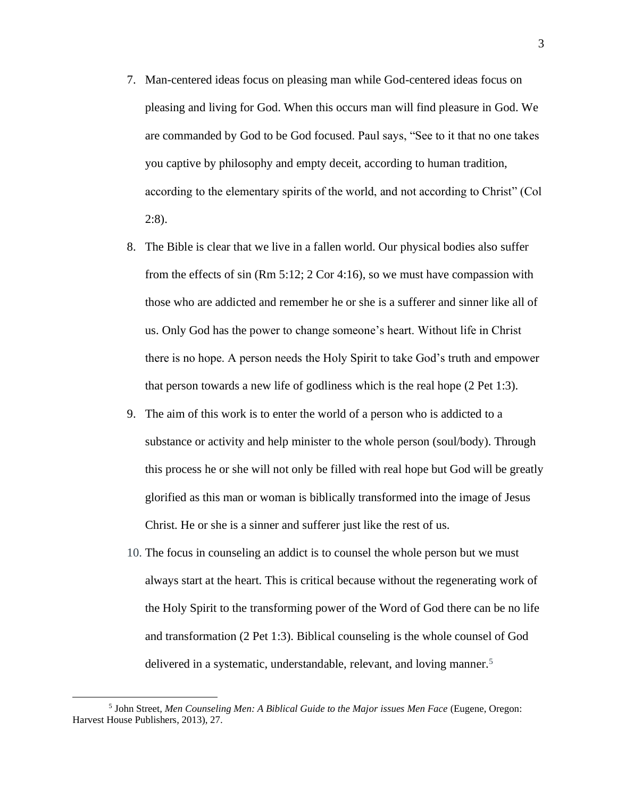- 7. Man-centered ideas focus on pleasing man while God-centered ideas focus on pleasing and living for God. When this occurs man will find pleasure in God. We are commanded by God to be God focused. Paul says, "See to it that no one takes you captive by philosophy and empty deceit, according to human tradition, according to the elementary spirits of the world, and not according to Christ" (Col 2:8).
- 8. The Bible is clear that we live in a fallen world. Our physical bodies also suffer from the effects of sin (Rm 5:12; 2 Cor 4:16), so we must have compassion with those who are addicted and remember he or she is a sufferer and sinner like all of us. Only God has the power to change someone's heart. Without life in Christ there is no hope. A person needs the Holy Spirit to take God's truth and empower that person towards a new life of godliness which is the real hope (2 Pet 1:3).
- 9. The aim of this work is to enter the world of a person who is addicted to a substance or activity and help minister to the whole person (soul/body). Through this process he or she will not only be filled with real hope but God will be greatly glorified as this man or woman is biblically transformed into the image of Jesus Christ. He or she is a sinner and sufferer just like the rest of us.
- 10. The focus in counseling an addict is to counsel the whole person but we must always start at the heart. This is critical because without the regenerating work of the Holy Spirit to the transforming power of the Word of God there can be no life and transformation (2 Pet 1:3). Biblical counseling is the whole counsel of God delivered in a systematic, understandable, relevant, and loving manner.<sup>5</sup>

<sup>5</sup> John Street*, Men Counseling Men: A Biblical Guide to the Major issues Men Face* (Eugene, Oregon: Harvest House Publishers, 2013), 27.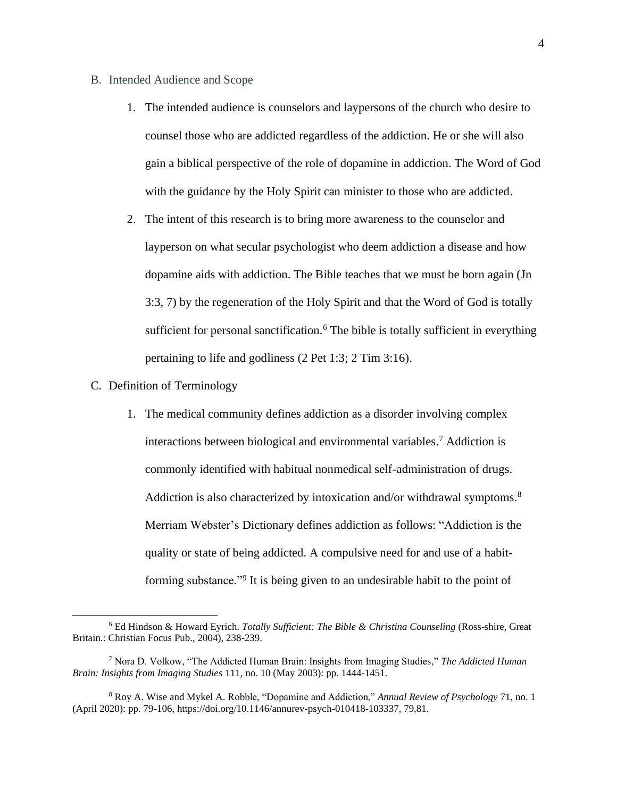- B. Intended Audience and Scope
	- 1. The intended audience is counselors and laypersons of the church who desire to counsel those who are addicted regardless of the addiction. He or she will also gain a biblical perspective of the role of dopamine in addiction. The Word of God with the guidance by the Holy Spirit can minister to those who are addicted.
	- 2. The intent of this research is to bring more awareness to the counselor and layperson on what secular psychologist who deem addiction a disease and how dopamine aids with addiction. The Bible teaches that we must be born again (Jn 3:3, 7) by the regeneration of the Holy Spirit and that the Word of God is totally sufficient for personal sanctification.<sup>6</sup> The bible is totally sufficient in everything pertaining to life and godliness (2 Pet 1:3; 2 Tim 3:16).
- C. Definition of Terminology
	- 1. The medical community defines addiction as a disorder involving complex interactions between biological and environmental variables. <sup>7</sup> Addiction is commonly identified with habitual nonmedical self-administration of drugs. Addiction is also characterized by intoxication and/or withdrawal symptoms.<sup>8</sup> Merriam Webster's Dictionary defines addiction as follows: "Addiction is the quality or state of being addicted. A compulsive need for and use of a habitforming substance."<sup>9</sup> It is being given to an undesirable habit to the point of

<sup>6</sup> Ed Hindson & Howard Eyrich. *Totally Sufficient: The Bible & Christina Counseling* (Ross-shire, Great Britain.: Christian Focus Pub., 2004), 238-239.

<sup>7</sup> Nora D. Volkow, "The Addicted Human Brain: Insights from Imaging Studies," *The Addicted Human Brain: Insights from Imaging Studies* 111, no. 10 (May 2003): pp. 1444-1451.

<sup>8</sup> Roy A. Wise and Mykel A. Robble, "Dopamine and Addiction," *Annual Review of Psychology* 71, no. 1 (April 2020): pp. 79-106, https://doi.org/10.1146/annurev-psych-010418-103337, 79,81.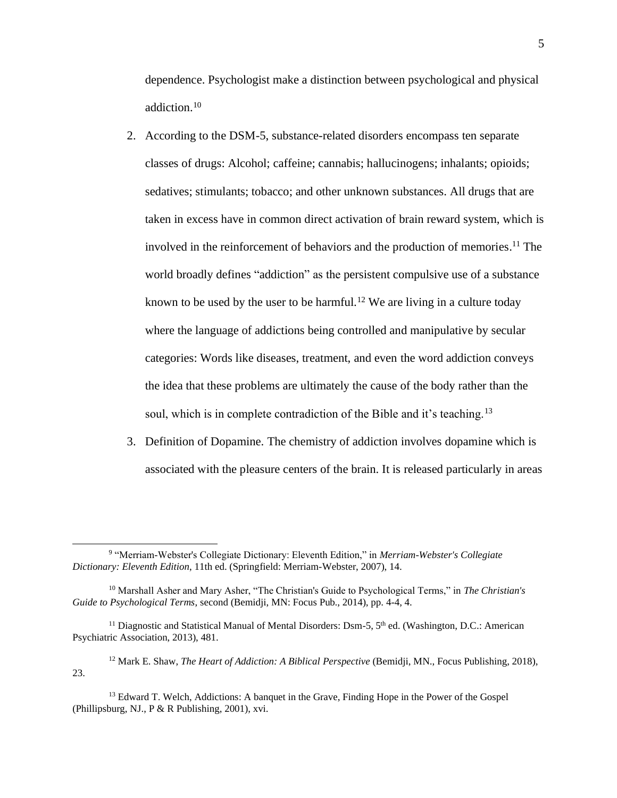dependence. Psychologist make a distinction between psychological and physical addiction.<sup>10</sup>

- 2. According to the DSM-5, substance-related disorders encompass ten separate classes of drugs: Alcohol; caffeine; cannabis; hallucinogens; inhalants; opioids; sedatives; stimulants; tobacco; and other unknown substances. All drugs that are taken in excess have in common direct activation of brain reward system, which is involved in the reinforcement of behaviors and the production of memories. <sup>11</sup> The world broadly defines "addiction" as the persistent compulsive use of a substance known to be used by the user to be harmful.<sup>12</sup> We are living in a culture today where the language of addictions being controlled and manipulative by secular categories: Words like diseases, treatment, and even the word addiction conveys the idea that these problems are ultimately the cause of the body rather than the soul, which is in complete contradiction of the Bible and it's teaching.<sup>13</sup>
- 3. Definition of Dopamine. The chemistry of addiction involves dopamine which is associated with the pleasure centers of the brain. It is released particularly in areas

<sup>9</sup> "Merriam-Webster's Collegiate Dictionary: Eleventh Edition," in *Merriam-Webster's Collegiate Dictionary: Eleventh Edition*, 11th ed. (Springfield: Merriam-Webster, 2007), 14.

<sup>10</sup> Marshall Asher and Mary Asher, "The Christian's Guide to Psychological Terms," in *The Christian's Guide to Psychological Terms*, second (Bemidji, MN: Focus Pub., 2014), pp. 4-4, 4.

<sup>&</sup>lt;sup>11</sup> Diagnostic and Statistical Manual of Mental Disorders: Dsm-5, 5<sup>th</sup> ed. (Washington, D.C.: American Psychiatric Association, 2013), 481.

<sup>12</sup> Mark E. Shaw, *The Heart of Addiction: A Biblical Perspective* (Bemidji, MN., Focus Publishing, 2018), 23.

<sup>&</sup>lt;sup>13</sup> Edward T. Welch, Addictions: A banquet in the Grave, Finding Hope in the Power of the Gospel (Phillipsburg, NJ., P & R Publishing, 2001), xvi.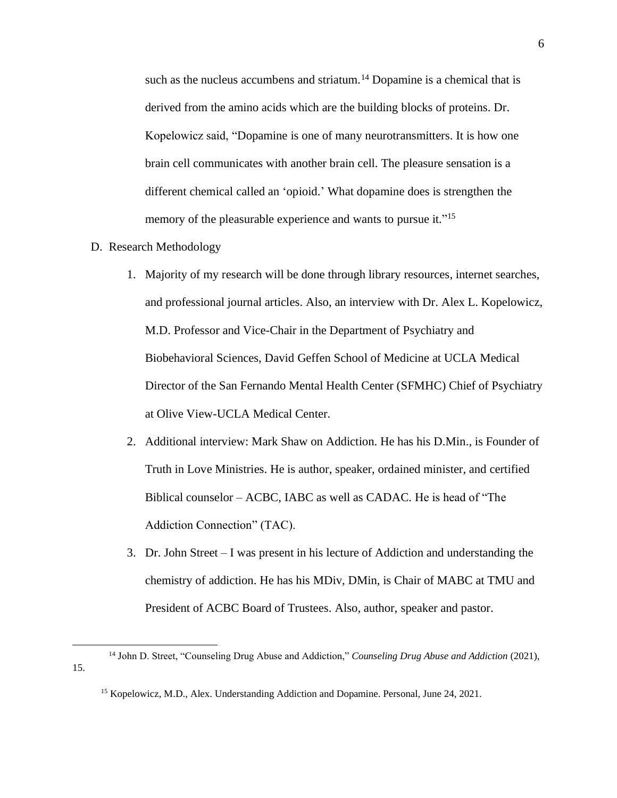such as the nucleus accumbens and striatum.<sup>14</sup> Dopamine is a chemical that is derived from the amino acids which are the building blocks of proteins. Dr. Kopelowicz said, "Dopamine is one of many neurotransmitters. It is how one brain cell communicates with another brain cell. The pleasure sensation is a different chemical called an 'opioid.' What dopamine does is strengthen the memory of the pleasurable experience and wants to pursue it."<sup>15</sup>

- D. Research Methodology
	- 1. Majority of my research will be done through library resources, internet searches, and professional journal articles. Also, an interview with Dr. Alex L. Kopelowicz, M.D. Professor and Vice-Chair in the Department of Psychiatry and Biobehavioral Sciences, David Geffen School of Medicine at UCLA Medical Director of the San Fernando Mental Health Center (SFMHC) Chief of Psychiatry at Olive View-UCLA Medical Center.
	- 2. Additional interview: Mark Shaw on Addiction. He has his D.Min., is Founder of Truth in Love Ministries. He is author, speaker, ordained minister, and certified Biblical counselor – ACBC, IABC as well as CADAC. He is head of "The Addiction Connection" (TAC).
	- 3. Dr. John Street I was present in his lecture of Addiction and understanding the chemistry of addiction. He has his MDiv, DMin, is Chair of MABC at TMU and President of ACBC Board of Trustees. Also, author, speaker and pastor.

<sup>14</sup> John D. Street, "Counseling Drug Abuse and Addiction," *Counseling Drug Abuse and Addiction* (2021), 15.

<sup>&</sup>lt;sup>15</sup> Kopelowicz, M.D., Alex. Understanding Addiction and Dopamine. Personal, June 24, 2021.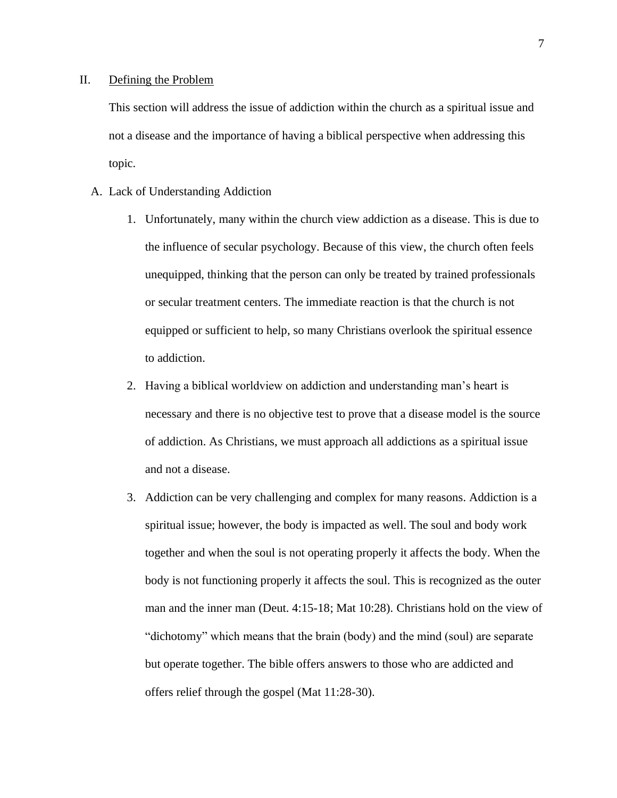#### II. Defining the Problem

This section will address the issue of addiction within the church as a spiritual issue and not a disease and the importance of having a biblical perspective when addressing this topic.

- A. Lack of Understanding Addiction
	- 1. Unfortunately, many within the church view addiction as a disease. This is due to the influence of secular psychology. Because of this view, the church often feels unequipped, thinking that the person can only be treated by trained professionals or secular treatment centers. The immediate reaction is that the church is not equipped or sufficient to help, so many Christians overlook the spiritual essence to addiction.
	- 2. Having a biblical worldview on addiction and understanding man's heart is necessary and there is no objective test to prove that a disease model is the source of addiction. As Christians, we must approach all addictions as a spiritual issue and not a disease.
	- 3. Addiction can be very challenging and complex for many reasons. Addiction is a spiritual issue; however, the body is impacted as well. The soul and body work together and when the soul is not operating properly it affects the body. When the body is not functioning properly it affects the soul. This is recognized as the outer man and the inner man (Deut. 4:15-18; Mat 10:28). Christians hold on the view of "dichotomy" which means that the brain (body) and the mind (soul) are separate but operate together. The bible offers answers to those who are addicted and offers relief through the gospel (Mat 11:28-30).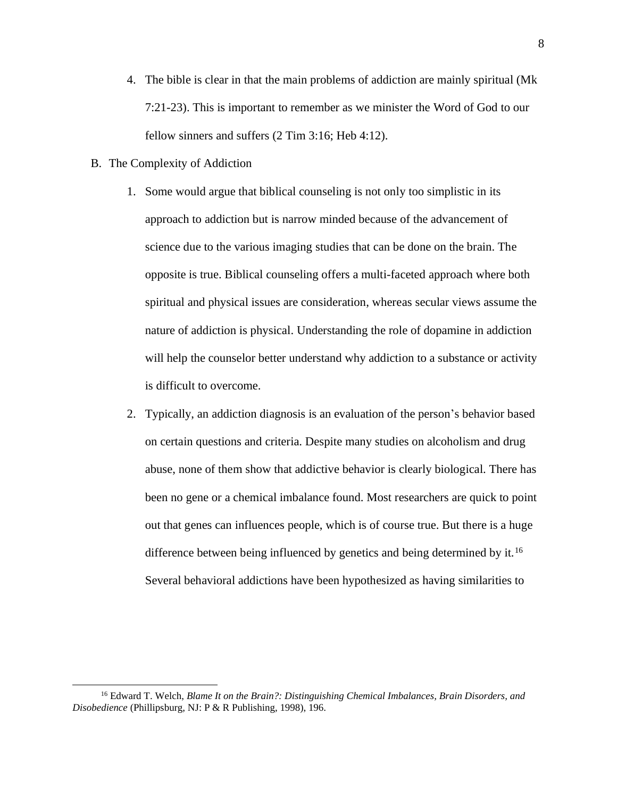- 4. The bible is clear in that the main problems of addiction are mainly spiritual (Mk 7:21-23). This is important to remember as we minister the Word of God to our fellow sinners and suffers (2 Tim 3:16; Heb 4:12).
- B. The Complexity of Addiction
	- 1. Some would argue that biblical counseling is not only too simplistic in its approach to addiction but is narrow minded because of the advancement of science due to the various imaging studies that can be done on the brain. The opposite is true. Biblical counseling offers a multi-faceted approach where both spiritual and physical issues are consideration, whereas secular views assume the nature of addiction is physical. Understanding the role of dopamine in addiction will help the counselor better understand why addiction to a substance or activity is difficult to overcome.
	- 2. Typically, an addiction diagnosis is an evaluation of the person's behavior based on certain questions and criteria. Despite many studies on alcoholism and drug abuse, none of them show that addictive behavior is clearly biological. There has been no gene or a chemical imbalance found. Most researchers are quick to point out that genes can influences people, which is of course true. But there is a huge difference between being influenced by genetics and being determined by it.<sup>16</sup> Several behavioral addictions have been hypothesized as having similarities to

<sup>16</sup> Edward T. Welch, *Blame It on the Brain?: Distinguishing Chemical Imbalances, Brain Disorders, and Disobedience* (Phillipsburg, NJ: P & R Publishing, 1998), 196.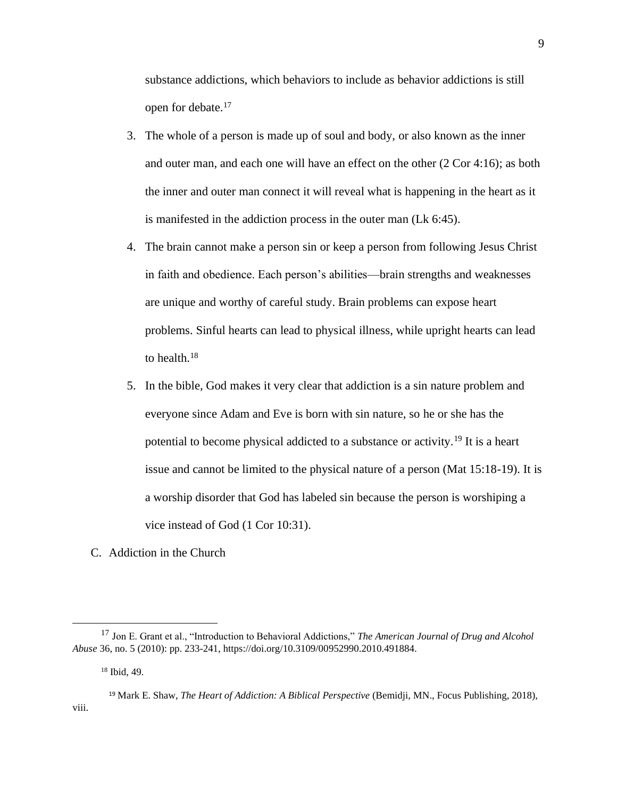substance addictions, which behaviors to include as behavior addictions is still open for debate.<sup>17</sup>

- 3. The whole of a person is made up of soul and body, or also known as the inner and outer man, and each one will have an effect on the other (2 Cor 4:16); as both the inner and outer man connect it will reveal what is happening in the heart as it is manifested in the addiction process in the outer man (Lk 6:45).
- 4. The brain cannot make a person sin or keep a person from following Jesus Christ in faith and obedience. Each person's abilities—brain strengths and weaknesses are unique and worthy of careful study. Brain problems can expose heart problems. Sinful hearts can lead to physical illness, while upright hearts can lead to health.<sup>18</sup>
- 5. In the bible, God makes it very clear that addiction is a sin nature problem and everyone since Adam and Eve is born with sin nature, so he or she has the potential to become physical addicted to a substance or activity.<sup>19</sup> It is a heart issue and cannot be limited to the physical nature of a person (Mat 15:18-19). It is a worship disorder that God has labeled sin because the person is worshiping a vice instead of God (1 Cor 10:31).
- C. Addiction in the Church

<sup>17</sup> Jon E. Grant et al., "Introduction to Behavioral Addictions," *The American Journal of Drug and Alcohol Abuse* 36, no. 5 (2010): pp. 233-241, https://doi.org/10.3109/00952990.2010.491884.

<sup>18</sup> Ibid, 49.

<sup>19</sup> Mark E. Shaw, *The Heart of Addiction: A Biblical Perspective* (Bemidji, MN., Focus Publishing, 2018), viii.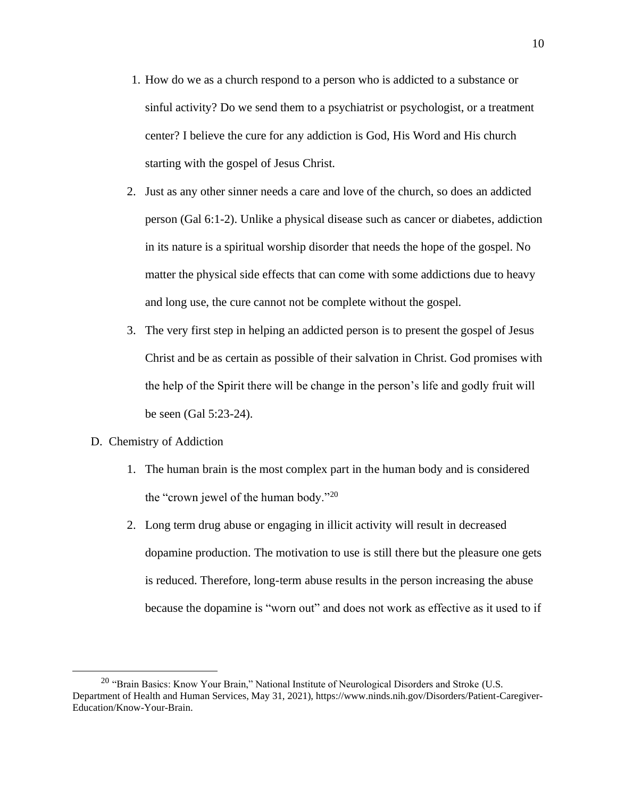- 1. How do we as a church respond to a person who is addicted to a substance or sinful activity? Do we send them to a psychiatrist or psychologist, or a treatment center? I believe the cure for any addiction is God, His Word and His church starting with the gospel of Jesus Christ.
- 2. Just as any other sinner needs a care and love of the church, so does an addicted person (Gal 6:1-2). Unlike a physical disease such as cancer or diabetes, addiction in its nature is a spiritual worship disorder that needs the hope of the gospel. No matter the physical side effects that can come with some addictions due to heavy and long use, the cure cannot not be complete without the gospel.
- 3. The very first step in helping an addicted person is to present the gospel of Jesus Christ and be as certain as possible of their salvation in Christ. God promises with the help of the Spirit there will be change in the person's life and godly fruit will be seen (Gal 5:23-24).
- D. Chemistry of Addiction
	- 1. The human brain is the most complex part in the human body and is considered the "crown jewel of the human body."<sup>20</sup>
	- 2. Long term drug abuse or engaging in illicit activity will result in decreased dopamine production. The motivation to use is still there but the pleasure one gets is reduced. Therefore, long-term abuse results in the person increasing the abuse because the dopamine is "worn out" and does not work as effective as it used to if

<sup>&</sup>lt;sup>20</sup> "Brain Basics: Know Your Brain," National Institute of Neurological Disorders and Stroke (U.S. Department of Health and Human Services, May 31, 2021), https://www.ninds.nih.gov/Disorders/Patient-Caregiver-Education/Know-Your-Brain.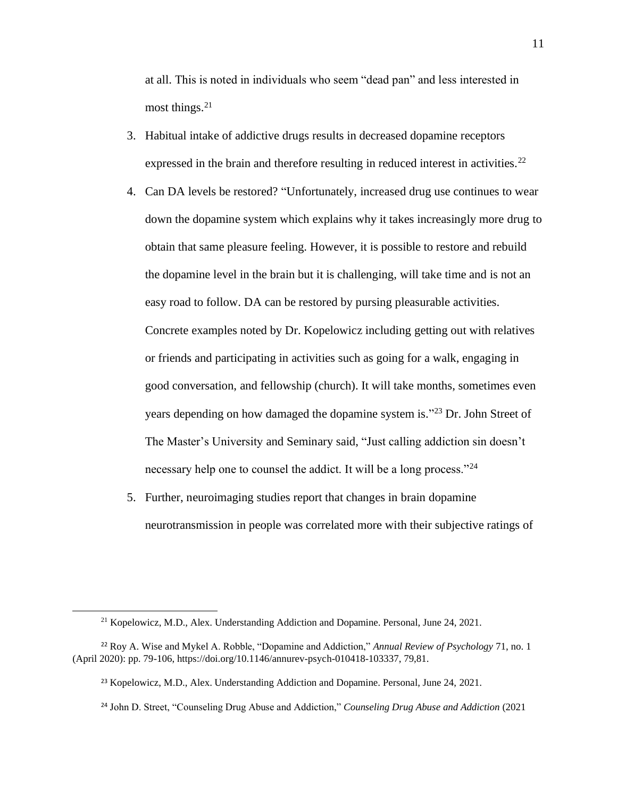at all. This is noted in individuals who seem "dead pan" and less interested in most things. 21

- 3. Habitual intake of addictive drugs results in decreased dopamine receptors expressed in the brain and therefore resulting in reduced interest in activities.<sup>22</sup>
- 4. Can DA levels be restored? "Unfortunately, increased drug use continues to wear down the dopamine system which explains why it takes increasingly more drug to obtain that same pleasure feeling. However, it is possible to restore and rebuild the dopamine level in the brain but it is challenging, will take time and is not an easy road to follow. DA can be restored by pursing pleasurable activities. Concrete examples noted by Dr. Kopelowicz including getting out with relatives or friends and participating in activities such as going for a walk, engaging in good conversation, and fellowship (church). It will take months, sometimes even years depending on how damaged the dopamine system is."<sup>23</sup> Dr. John Street of The Master's University and Seminary said, "Just calling addiction sin doesn't necessary help one to counsel the addict. It will be a long process."<sup>24</sup>
- 5. Further, neuroimaging studies report that changes in brain dopamine neurotransmission in people was correlated more with their subjective ratings of

<sup>21</sup> Kopelowicz, M.D., Alex. Understanding Addiction and Dopamine. Personal, June 24, 2021.

<sup>22</sup> Roy A. Wise and Mykel A. Robble, "Dopamine and Addiction," *Annual Review of Psychology* 71, no. 1 (April 2020): pp. 79-106, https://doi.org/10.1146/annurev-psych-010418-103337, 79,81.

<sup>23</sup> Kopelowicz, M.D., Alex. Understanding Addiction and Dopamine. Personal, June 24, 2021.

<sup>24</sup> John D. Street, "Counseling Drug Abuse and Addiction," *Counseling Drug Abuse and Addiction* (2021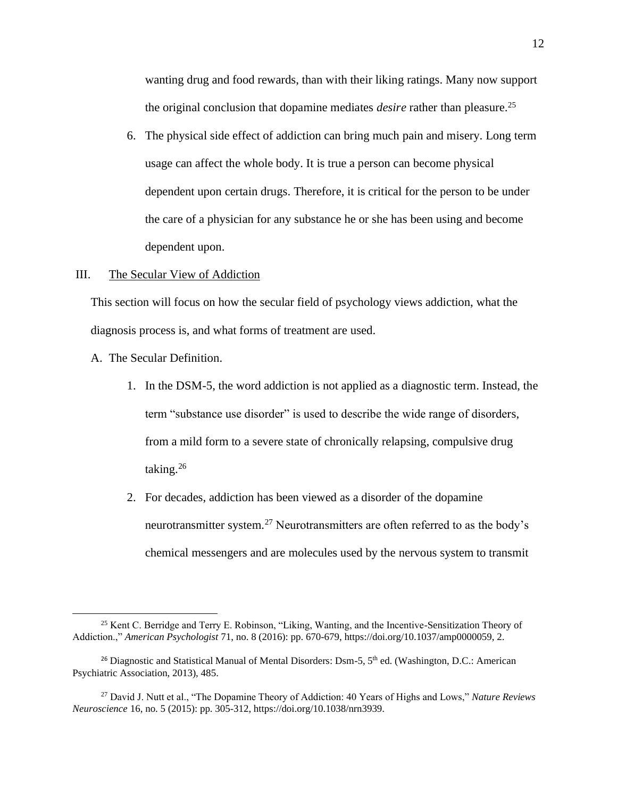wanting drug and food rewards, than with their liking ratings. Many now support the original conclusion that dopamine mediates *desire* rather than pleasure. 25

6. The physical side effect of addiction can bring much pain and misery. Long term usage can affect the whole body. It is true a person can become physical dependent upon certain drugs. Therefore, it is critical for the person to be under the care of a physician for any substance he or she has been using and become dependent upon.

#### III. The Secular View of Addiction

This section will focus on how the secular field of psychology views addiction, what the diagnosis process is, and what forms of treatment are used.

- A. The Secular Definition.
	- 1. In the DSM-5, the word addiction is not applied as a diagnostic term. Instead, the term "substance use disorder" is used to describe the wide range of disorders, from a mild form to a severe state of chronically relapsing, compulsive drug taking.<sup>26</sup>
	- 2. For decades, addiction has been viewed as a disorder of the dopamine neurotransmitter system.<sup>27</sup> Neurotransmitters are often referred to as the body's chemical messengers and are molecules used by the nervous system to transmit

<sup>25</sup> Kent C. Berridge and Terry E. Robinson, "Liking, Wanting, and the Incentive-Sensitization Theory of Addiction.," *American Psychologist* 71, no. 8 (2016): pp. 670-679, https://doi.org/10.1037/amp0000059, 2.

<sup>&</sup>lt;sup>26</sup> Diagnostic and Statistical Manual of Mental Disorders: Dsm-5, 5<sup>th</sup> ed. (Washington, D.C.: American Psychiatric Association, 2013), 485.

<sup>27</sup> David J. Nutt et al., "The Dopamine Theory of Addiction: 40 Years of Highs and Lows," *Nature Reviews Neuroscience* 16, no. 5 (2015): pp. 305-312, https://doi.org/10.1038/nrn3939.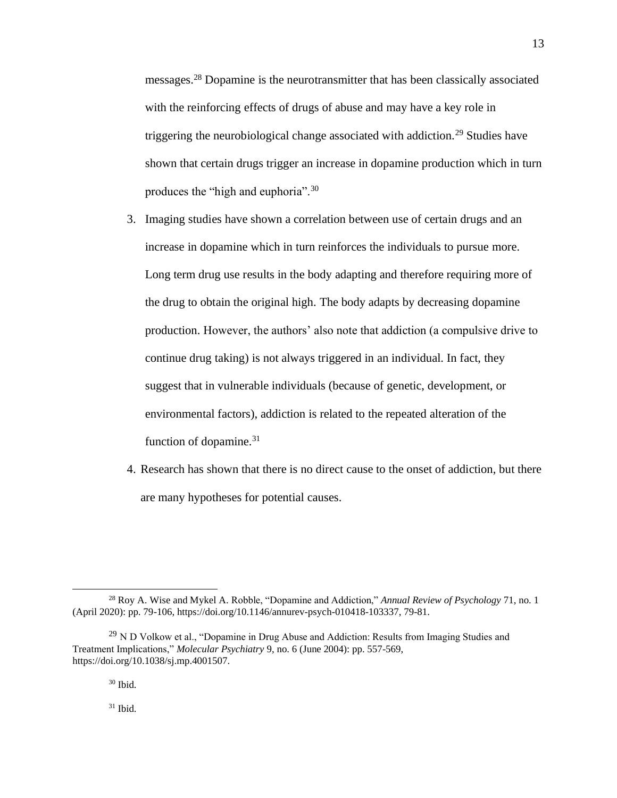messages.<sup>28</sup> Dopamine is the neurotransmitter that has been classically associated with the reinforcing effects of drugs of abuse and may have a key role in triggering the neurobiological change associated with addiction.<sup>29</sup> Studies have shown that certain drugs trigger an increase in dopamine production which in turn produces the "high and euphoria".<sup>30</sup>

- 3. Imaging studies have shown a correlation between use of certain drugs and an increase in dopamine which in turn reinforces the individuals to pursue more. Long term drug use results in the body adapting and therefore requiring more of the drug to obtain the original high. The body adapts by decreasing dopamine production. However, the authors' also note that addiction (a compulsive drive to continue drug taking) is not always triggered in an individual. In fact, they suggest that in vulnerable individuals (because of genetic, development, or environmental factors), addiction is related to the repeated alteration of the function of dopamine.<sup>31</sup>
- 4. Research has shown that there is no direct cause to the onset of addiction, but there are many hypotheses for potential causes.

 $30$  Ibid.

 $31$  Ibid.

<sup>28</sup> Roy A. Wise and Mykel A. Robble, "Dopamine and Addiction," *Annual Review of Psychology* 71, no. 1 (April 2020): pp. 79-106, https://doi.org/10.1146/annurev-psych-010418-103337, 79-81.

 $^{29}$  N D Volkow et al., "Dopamine in Drug Abuse and Addiction: Results from Imaging Studies and Treatment Implications," *Molecular Psychiatry* 9, no. 6 (June 2004): pp. 557-569, https://doi.org/10.1038/sj.mp.4001507.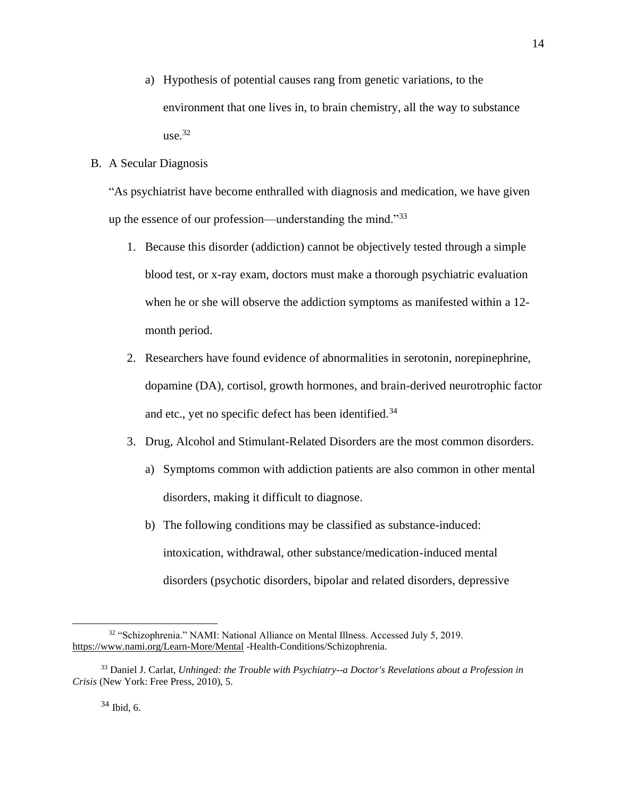a) Hypothesis of potential causes rang from genetic variations, to the environment that one lives in, to brain chemistry, all the way to substance  $use.<sup>32</sup>$ 

### B. A Secular Diagnosis

"As psychiatrist have become enthralled with diagnosis and medication, we have given up the essence of our profession—understanding the mind."<sup>33</sup>

- 1. Because this disorder (addiction) cannot be objectively tested through a simple blood test, or x-ray exam, doctors must make a thorough psychiatric evaluation when he or she will observe the addiction symptoms as manifested within a 12 month period.
- 2. Researchers have found evidence of abnormalities in serotonin, norepinephrine, dopamine (DA), cortisol, growth hormones, and brain-derived neurotrophic factor and etc., yet no specific defect has been identified.<sup>34</sup>
- 3. Drug, Alcohol and Stimulant-Related Disorders are the most common disorders.
	- a) Symptoms common with addiction patients are also common in other mental disorders, making it difficult to diagnose.
	- b) The following conditions may be classified as substance-induced: intoxication, withdrawal, other substance/medication-induced mental disorders (psychotic disorders, bipolar and related disorders, depressive

<sup>34</sup> Ibid, 6.

<sup>32</sup> "Schizophrenia." NAMI: National Alliance on Mental Illness. Accessed July 5, 2019. <https://www.nami.org/Learn-More/Mental> -Health-Conditions/Schizophrenia.

<sup>33</sup> Daniel J. Carlat, *Unhinged: the Trouble with Psychiatry--a Doctor's Revelations about a Profession in Crisis* (New York: Free Press, 2010), 5.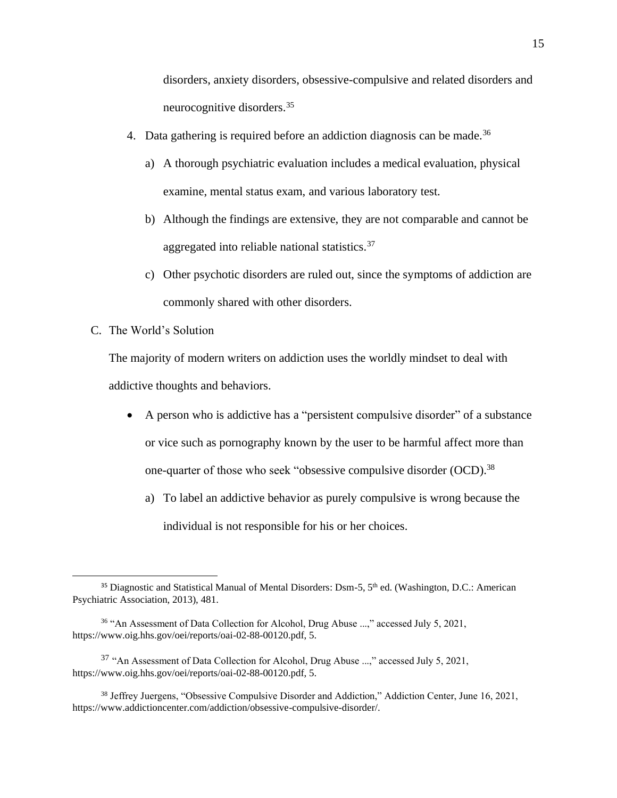disorders, anxiety disorders, obsessive-compulsive and related disorders and neurocognitive disorders.<sup>35</sup>

- 4. Data gathering is required before an addiction diagnosis can be made.<sup>36</sup>
	- a) A thorough psychiatric evaluation includes a medical evaluation, physical examine, mental status exam, and various laboratory test.
	- b) Although the findings are extensive, they are not comparable and cannot be aggregated into reliable national statistics.<sup>37</sup>
	- c) Other psychotic disorders are ruled out, since the symptoms of addiction are commonly shared with other disorders.
- C. The World's Solution

The majority of modern writers on addiction uses the worldly mindset to deal with addictive thoughts and behaviors.

- A person who is addictive has a "persistent compulsive disorder" of a substance or vice such as pornography known by the user to be harmful affect more than one-quarter of those who seek "obsessive compulsive disorder (OCD).<sup>38</sup>
	- a) To label an addictive behavior as purely compulsive is wrong because the individual is not responsible for his or her choices.

<sup>&</sup>lt;sup>35</sup> Diagnostic and Statistical Manual of Mental Disorders: Dsm-5, 5<sup>th</sup> ed. (Washington, D.C.: American Psychiatric Association, 2013), 481.

<sup>&</sup>lt;sup>36</sup> "An Assessment of Data Collection for Alcohol, Drug Abuse ...," accessed July 5, 2021, https://www.oig.hhs.gov/oei/reports/oai-02-88-00120.pdf, 5.

<sup>37</sup> "An Assessment of Data Collection for Alcohol, Drug Abuse ...," accessed July 5, 2021, https://www.oig.hhs.gov/oei/reports/oai-02-88-00120.pdf, 5.

<sup>38</sup> Jeffrey Juergens, "Obsessive Compulsive Disorder and Addiction," Addiction Center, June 16, 2021, https://www.addictioncenter.com/addiction/obsessive-compulsive-disorder/.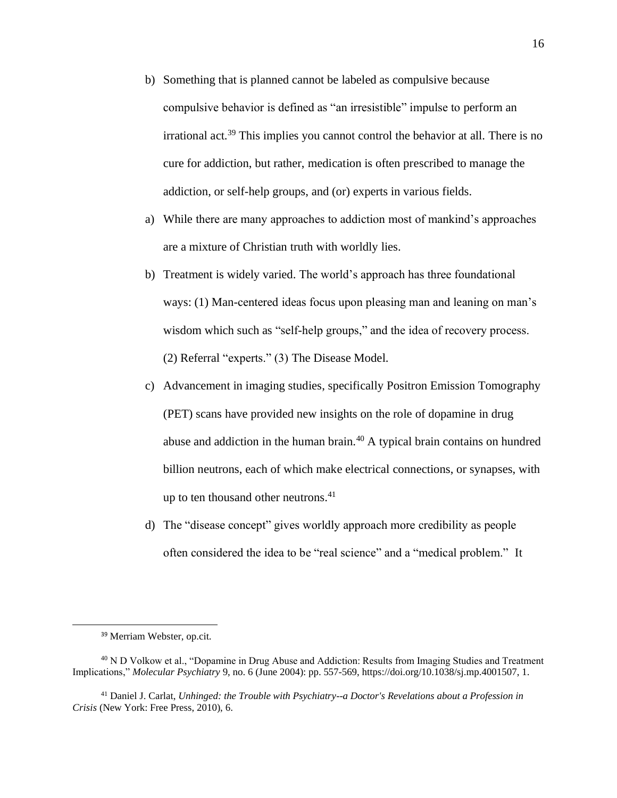- b) Something that is planned cannot be labeled as compulsive because compulsive behavior is defined as "an irresistible" impulse to perform an irrational act.<sup>39</sup> This implies you cannot control the behavior at all. There is no cure for addiction, but rather, medication is often prescribed to manage the addiction, or self-help groups, and (or) experts in various fields.
- a) While there are many approaches to addiction most of mankind's approaches are a mixture of Christian truth with worldly lies.
- b) Treatment is widely varied. The world's approach has three foundational ways: (1) Man-centered ideas focus upon pleasing man and leaning on man's wisdom which such as "self-help groups," and the idea of recovery process. (2) Referral "experts." (3) The Disease Model.
- c) Advancement in imaging studies, specifically Positron Emission Tomography (PET) scans have provided new insights on the role of dopamine in drug abuse and addiction in the human brain.<sup>40</sup> A typical brain contains on hundred billion neutrons, each of which make electrical connections, or synapses, with up to ten thousand other neutrons.<sup>41</sup>
- d) The "disease concept" gives worldly approach more credibility as people often considered the idea to be "real science" and a "medical problem." It

<sup>39</sup> Merriam Webster, op.cit.

<sup>&</sup>lt;sup>40</sup> N D Volkow et al., "Dopamine in Drug Abuse and Addiction: Results from Imaging Studies and Treatment Implications," *Molecular Psychiatry* 9, no. 6 (June 2004): pp. 557-569, https://doi.org/10.1038/sj.mp.4001507, 1.

<sup>41</sup> Daniel J. Carlat, *Unhinged: the Trouble with Psychiatry--a Doctor's Revelations about a Profession in Crisis* (New York: Free Press, 2010), 6.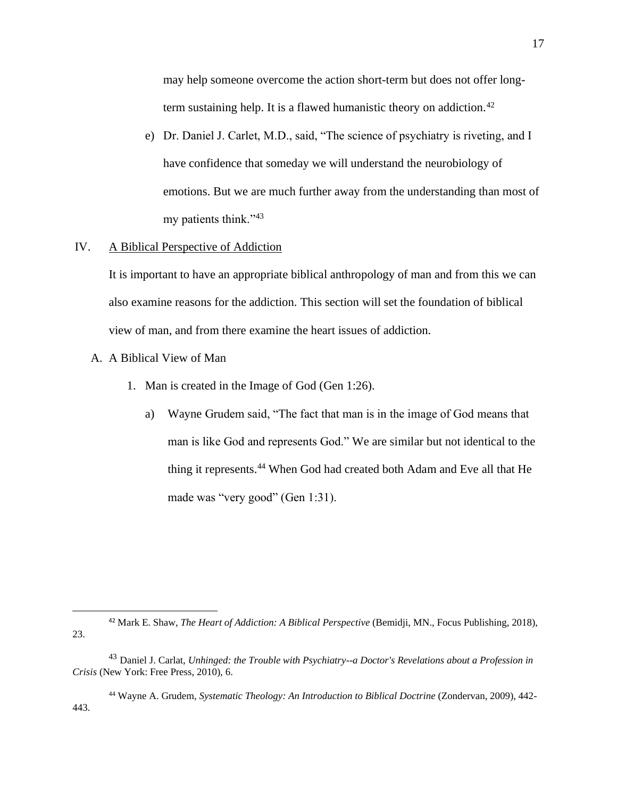may help someone overcome the action short-term but does not offer longterm sustaining help. It is a flawed humanistic theory on addiction.<sup>42</sup>

e) Dr. Daniel J. Carlet, M.D., said, "The science of psychiatry is riveting, and I have confidence that someday we will understand the neurobiology of emotions. But we are much further away from the understanding than most of my patients think."<sup>43</sup>

#### IV. A Biblical Perspective of Addiction

It is important to have an appropriate biblical anthropology of man and from this we can also examine reasons for the addiction. This section will set the foundation of biblical view of man, and from there examine the heart issues of addiction.

- A. A Biblical View of Man
	- 1. Man is created in the Image of God (Gen 1:26).
		- a) Wayne Grudem said, "The fact that man is in the image of God means that man is like God and represents God." We are similar but not identical to the thing it represents.<sup>44</sup> When God had created both Adam and Eve all that He made was "very good" (Gen 1:31).

<sup>42</sup> Mark E. Shaw, *The Heart of Addiction: A Biblical Perspective* (Bemidji, MN., Focus Publishing, 2018), 23.

<sup>44</sup> Wayne A. Grudem, *Systematic Theology: An Introduction to Biblical Doctrine* (Zondervan, 2009), 442- 443.

<sup>43</sup> Daniel J. Carlat, *Unhinged: the Trouble with Psychiatry--a Doctor's Revelations about a Profession in Crisis* (New York: Free Press, 2010), 6.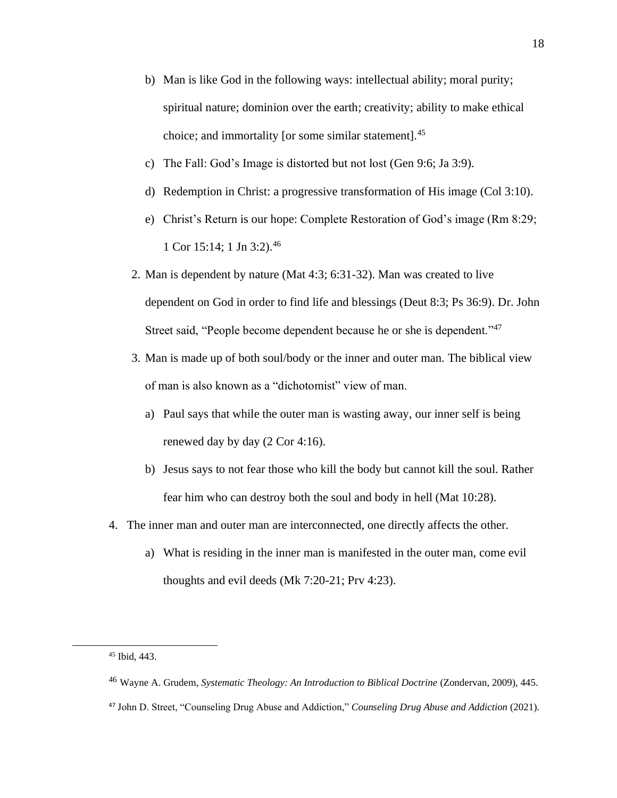- b) Man is like God in the following ways: intellectual ability; moral purity; spiritual nature; dominion over the earth; creativity; ability to make ethical choice; and immortality [or some similar statement].<sup>45</sup>
- c) The Fall: God's Image is distorted but not lost (Gen 9:6; Ja 3:9).
- d) Redemption in Christ: a progressive transformation of His image (Col 3:10).
- e) Christ's Return is our hope: Complete Restoration of God's image (Rm 8:29; 1 Cor 15:14; 1 Jn 3:2).<sup>46</sup>
- 2. Man is dependent by nature (Mat 4:3; 6:31-32). Man was created to live dependent on God in order to find life and blessings (Deut 8:3; Ps 36:9). Dr. John Street said, "People become dependent because he or she is dependent."<sup>47</sup>
- 3. Man is made up of both soul/body or the inner and outer man. The biblical view of man is also known as a "dichotomist" view of man.
	- a) Paul says that while the outer man is wasting away, our inner self is being renewed day by day (2 Cor 4:16).
	- b) Jesus says to not fear those who kill the body but cannot kill the soul. Rather fear him who can destroy both the soul and body in hell (Mat 10:28).
- 4. The inner man and outer man are interconnected, one directly affects the other.
	- a) What is residing in the inner man is manifested in the outer man, come evil thoughts and evil deeds (Mk 7:20-21; Prv 4:23).

<sup>45</sup> Ibid, 443.

<sup>46</sup> Wayne A. Grudem, *Systematic Theology: An Introduction to Biblical Doctrine* (Zondervan, 2009), 445.

<sup>47</sup> John D. Street, "Counseling Drug Abuse and Addiction," *Counseling Drug Abuse and Addiction* (2021).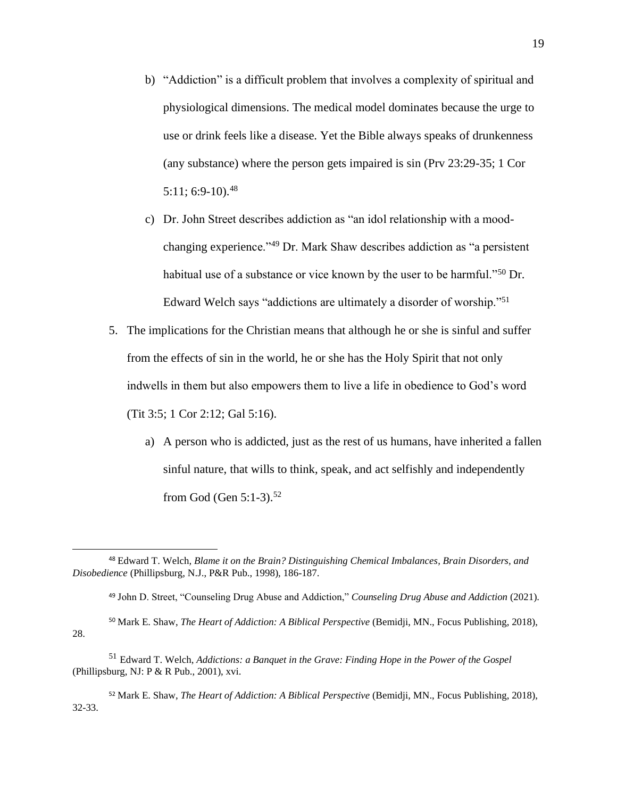- b) "Addiction" is a difficult problem that involves a complexity of spiritual and physiological dimensions. The medical model dominates because the urge to use or drink feels like a disease. Yet the Bible always speaks of drunkenness (any substance) where the person gets impaired is sin (Prv 23:29-35; 1 Cor  $5:11$ ; 6:9-10).<sup>48</sup>
- c) Dr. John Street describes addiction as "an idol relationship with a moodchanging experience."<sup>49</sup> Dr. Mark Shaw describes addiction as "a persistent habitual use of a substance or vice known by the user to be harmful."<sup>50</sup> Dr. Edward Welch says "addictions are ultimately a disorder of worship."<sup>51</sup>
- 5. The implications for the Christian means that although he or she is sinful and suffer from the effects of sin in the world, he or she has the Holy Spirit that not only indwells in them but also empowers them to live a life in obedience to God's word (Tit 3:5; 1 Cor 2:12; Gal 5:16).
	- a) A person who is addicted, just as the rest of us humans, have inherited a fallen sinful nature, that wills to think, speak, and act selfishly and independently from God (Gen 5:1-3). 52

<sup>50</sup> Mark E. Shaw, *The Heart of Addiction: A Biblical Perspective* (Bemidji, MN., Focus Publishing, 2018), 28.

<sup>52</sup> Mark E. Shaw, *The Heart of Addiction: A Biblical Perspective* (Bemidji, MN., Focus Publishing, 2018), 32-33.

<sup>48</sup> Edward T. Welch*, Blame it on the Brain? Distinguishing Chemical Imbalances, Brain Disorders, and Disobedience* (Phillipsburg, N.J., P&R Pub., 1998), 186-187.

<sup>49</sup> John D. Street, "Counseling Drug Abuse and Addiction," *Counseling Drug Abuse and Addiction* (2021).

<sup>51</sup> Edward T. Welch, *Addictions: a Banquet in the Grave: Finding Hope in the Power of the Gospel* (Phillipsburg, NJ: P & R Pub., 2001), xvi.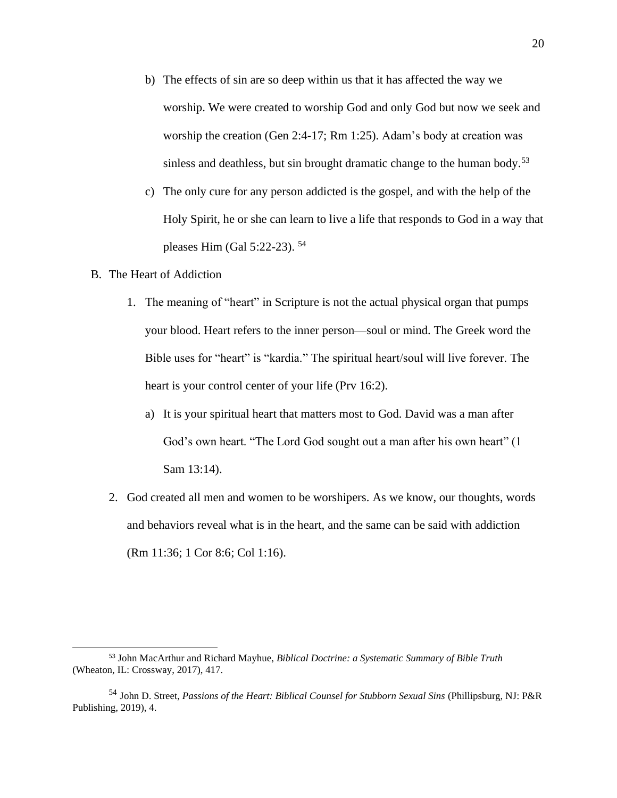- b) The effects of sin are so deep within us that it has affected the way we worship. We were created to worship God and only God but now we seek and worship the creation (Gen 2:4-17; Rm 1:25). Adam's body at creation was sinless and deathless, but sin brought dramatic change to the human body.<sup>53</sup>
- c) The only cure for any person addicted is the gospel, and with the help of the Holy Spirit, he or she can learn to live a life that responds to God in a way that pleases Him (Gal 5:22-23). <sup>54</sup>
- B. The Heart of Addiction
	- 1. The meaning of "heart" in Scripture is not the actual physical organ that pumps your blood. Heart refers to the inner person—soul or mind. The Greek word the Bible uses for "heart" is "kardia." The spiritual heart/soul will live forever. The heart is your control center of your life (Prv 16:2).
		- a) It is your spiritual heart that matters most to God. David was a man after God's own heart. "The Lord God sought out a man after his own heart" (1 Sam 13:14).
	- 2. God created all men and women to be worshipers. As we know, our thoughts, words and behaviors reveal what is in the heart, and the same can be said with addiction (Rm 11:36; 1 Cor 8:6; Col 1:16).

<sup>53</sup> John MacArthur and Richard Mayhue, *Biblical Doctrine: a Systematic Summary of Bible Truth* (Wheaton, IL: Crossway, 2017), 417.

<sup>54</sup> John D. Street, *Passions of the Heart: Biblical Counsel for Stubborn Sexual Sins* (Phillipsburg, NJ: P&R Publishing, 2019), 4.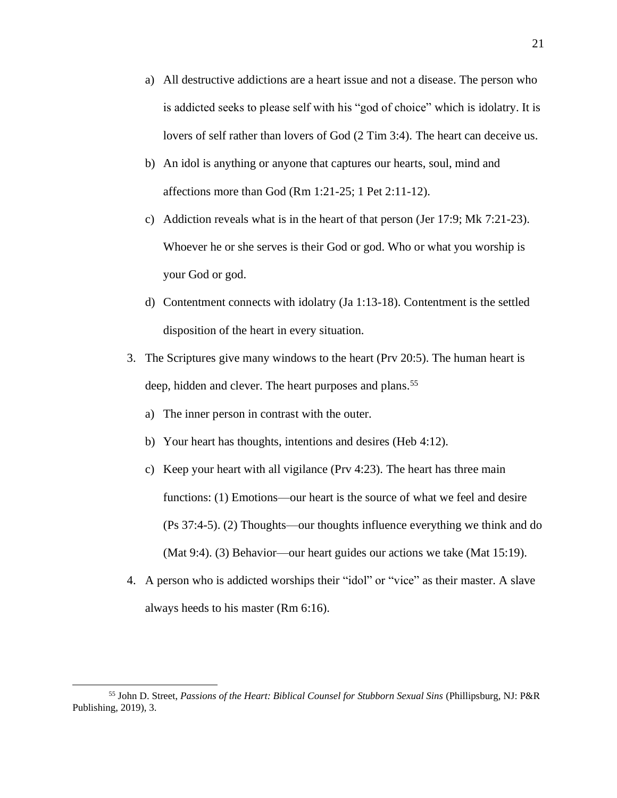- a) All destructive addictions are a heart issue and not a disease. The person who is addicted seeks to please self with his "god of choice" which is idolatry. It is lovers of self rather than lovers of God (2 Tim 3:4). The heart can deceive us.
- b) An idol is anything or anyone that captures our hearts, soul, mind and affections more than God (Rm 1:21-25; 1 Pet 2:11-12).
- c) Addiction reveals what is in the heart of that person (Jer 17:9; Mk 7:21-23). Whoever he or she serves is their God or god. Who or what you worship is your God or god.
- d) Contentment connects with idolatry (Ja 1:13-18). Contentment is the settled disposition of the heart in every situation.
- 3. The Scriptures give many windows to the heart (Prv 20:5). The human heart is deep, hidden and clever. The heart purposes and plans.<sup>55</sup>
	- a) The inner person in contrast with the outer.
	- b) Your heart has thoughts, intentions and desires (Heb 4:12).
	- c) Keep your heart with all vigilance (Prv 4:23). The heart has three main functions: (1) Emotions—our heart is the source of what we feel and desire (Ps 37:4-5). (2) Thoughts—our thoughts influence everything we think and do (Mat 9:4). (3) Behavior—our heart guides our actions we take (Mat 15:19).
- 4. A person who is addicted worships their "idol" or "vice" as their master. A slave always heeds to his master (Rm 6:16).

<sup>55</sup> John D. Street, *Passions of the Heart: Biblical Counsel for Stubborn Sexual Sins* (Phillipsburg, NJ: P&R Publishing, 2019), 3.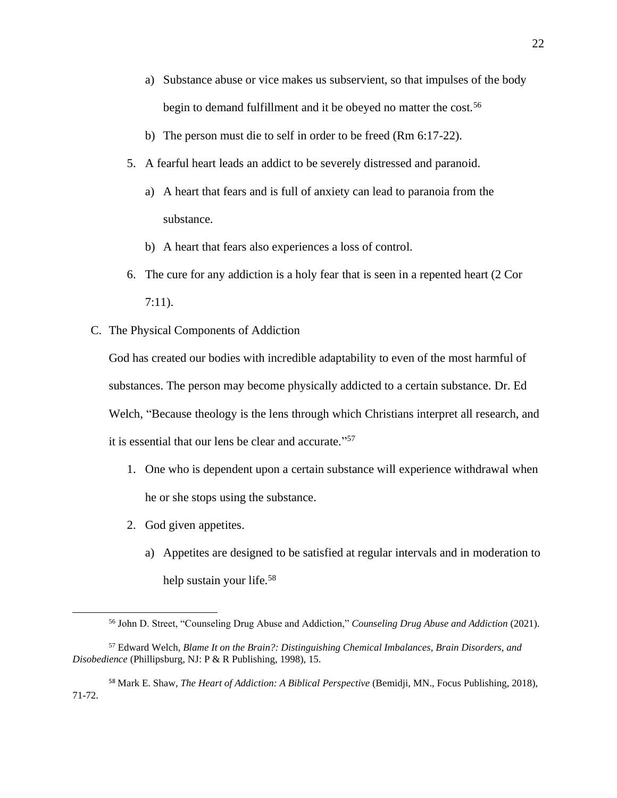- a) Substance abuse or vice makes us subservient, so that impulses of the body begin to demand fulfillment and it be obeyed no matter the cost.<sup>56</sup>
- b) The person must die to self in order to be freed (Rm 6:17-22).
- 5. A fearful heart leads an addict to be severely distressed and paranoid.
	- a) A heart that fears and is full of anxiety can lead to paranoia from the substance.
	- b) A heart that fears also experiences a loss of control.
- 6. The cure for any addiction is a holy fear that is seen in a repented heart (2 Cor 7:11).
- C. The Physical Components of Addiction

God has created our bodies with incredible adaptability to even of the most harmful of substances. The person may become physically addicted to a certain substance. Dr. Ed Welch, "Because theology is the lens through which Christians interpret all research, and it is essential that our lens be clear and accurate." 57

- 1. One who is dependent upon a certain substance will experience withdrawal when he or she stops using the substance.
- 2. God given appetites.
	- a) Appetites are designed to be satisfied at regular intervals and in moderation to help sustain your life.<sup>58</sup>

<sup>58</sup> Mark E. Shaw, *The Heart of Addiction: A Biblical Perspective* (Bemidji, MN., Focus Publishing, 2018), 71-72.

<sup>56</sup> John D. Street, "Counseling Drug Abuse and Addiction," *Counseling Drug Abuse and Addiction* (2021).

<sup>57</sup> Edward Welch, *Blame It on the Brain?: Distinguishing Chemical Imbalances, Brain Disorders, and Disobedience* (Phillipsburg, NJ: P & R Publishing, 1998), 15.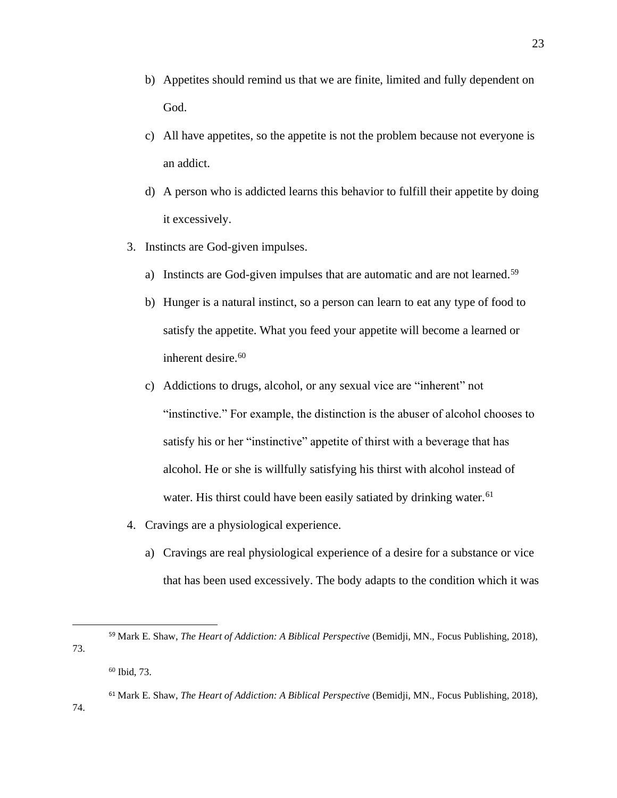- b) Appetites should remind us that we are finite, limited and fully dependent on God.
- c) All have appetites, so the appetite is not the problem because not everyone is an addict.
- d) A person who is addicted learns this behavior to fulfill their appetite by doing it excessively.
- 3. Instincts are God-given impulses.
	- a) Instincts are God-given impulses that are automatic and are not learned.<sup>59</sup>
	- b) Hunger is a natural instinct, so a person can learn to eat any type of food to satisfy the appetite. What you feed your appetite will become a learned or inherent desire.<sup>60</sup>
	- c) Addictions to drugs, alcohol, or any sexual vice are "inherent" not "instinctive." For example, the distinction is the abuser of alcohol chooses to satisfy his or her "instinctive" appetite of thirst with a beverage that has alcohol. He or she is willfully satisfying his thirst with alcohol instead of water. His thirst could have been easily satiated by drinking water.<sup>61</sup>
- 4. Cravings are a physiological experience.
	- a) Cravings are real physiological experience of a desire for a substance or vice that has been used excessively. The body adapts to the condition which it was

<sup>59</sup> Mark E. Shaw, *The Heart of Addiction: A Biblical Perspective* (Bemidji, MN., Focus Publishing, 2018), 73.

<sup>60</sup> Ibid, 73.

<sup>61</sup> Mark E. Shaw, *The Heart of Addiction: A Biblical Perspective* (Bemidji, MN., Focus Publishing, 2018),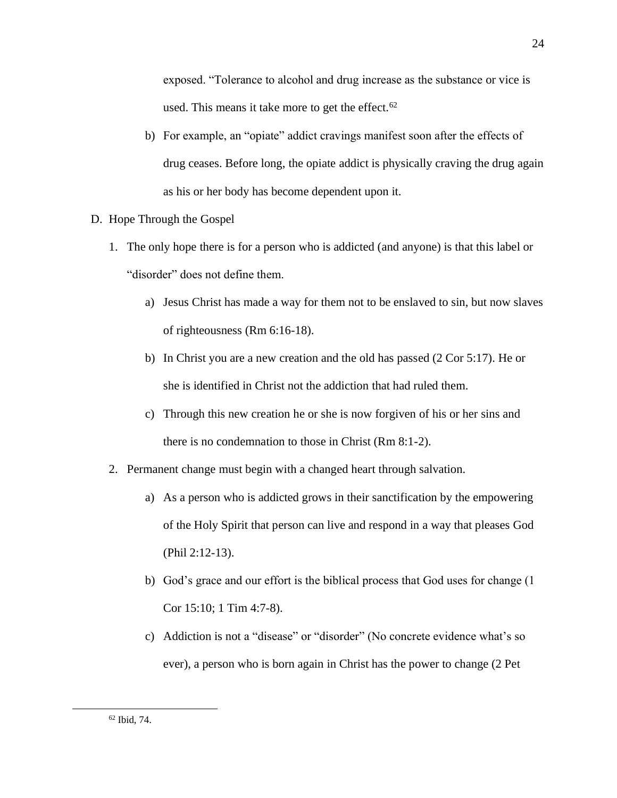exposed. "Tolerance to alcohol and drug increase as the substance or vice is used. This means it take more to get the effect. $62$ 

- b) For example, an "opiate" addict cravings manifest soon after the effects of drug ceases. Before long, the opiate addict is physically craving the drug again as his or her body has become dependent upon it.
- D. Hope Through the Gospel
	- 1. The only hope there is for a person who is addicted (and anyone) is that this label or "disorder" does not define them.
		- a) Jesus Christ has made a way for them not to be enslaved to sin, but now slaves of righteousness (Rm 6:16-18).
		- b) In Christ you are a new creation and the old has passed (2 Cor 5:17). He or she is identified in Christ not the addiction that had ruled them.
		- c) Through this new creation he or she is now forgiven of his or her sins and there is no condemnation to those in Christ (Rm 8:1-2).
	- 2. Permanent change must begin with a changed heart through salvation.
		- a) As a person who is addicted grows in their sanctification by the empowering of the Holy Spirit that person can live and respond in a way that pleases God (Phil 2:12-13).
		- b) God's grace and our effort is the biblical process that God uses for change (1 Cor 15:10; 1 Tim 4:7-8).
		- c) Addiction is not a "disease" or "disorder" (No concrete evidence what's so ever), a person who is born again in Christ has the power to change (2 Pet

<sup>62</sup> Ibid, 74.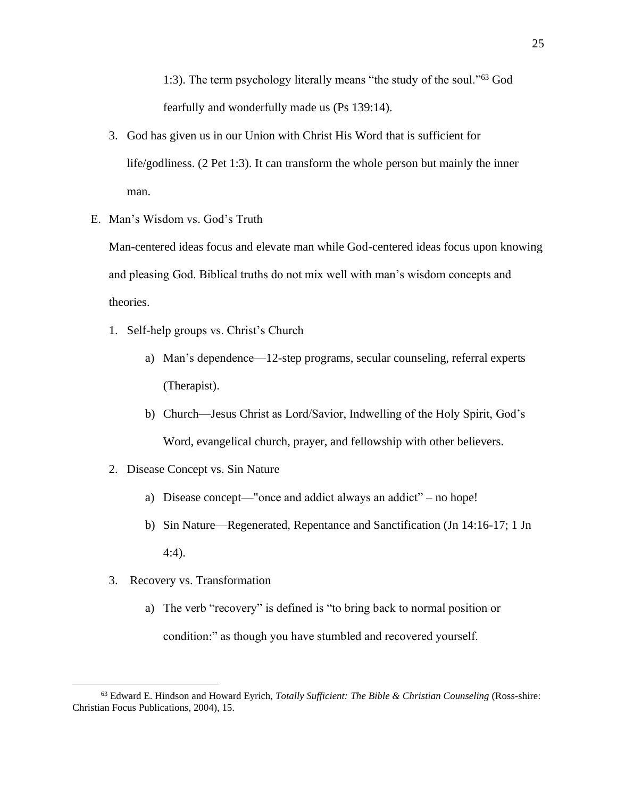1:3). The term psychology literally means "the study of the soul."<sup>63</sup> God fearfully and wonderfully made us (Ps 139:14).

- 3. God has given us in our Union with Christ His Word that is sufficient for life/godliness. (2 Pet 1:3). It can transform the whole person but mainly the inner man.
- E. Man's Wisdom vs. God's Truth

Man-centered ideas focus and elevate man while God-centered ideas focus upon knowing and pleasing God. Biblical truths do not mix well with man's wisdom concepts and theories.

- 1. Self-help groups vs. Christ's Church
	- a) Man's dependence—12-step programs, secular counseling, referral experts (Therapist).
	- b) Church—Jesus Christ as Lord/Savior, Indwelling of the Holy Spirit, God's Word, evangelical church, prayer, and fellowship with other believers.
- 2. Disease Concept vs. Sin Nature
	- a) Disease concept—"once and addict always an addict" no hope!
	- b) Sin Nature—Regenerated, Repentance and Sanctification (Jn 14:16-17; 1 Jn 4:4).
- 3. Recovery vs. Transformation
	- a) The verb "recovery" is defined is "to bring back to normal position or condition:" as though you have stumbled and recovered yourself.

<sup>63</sup> Edward E. Hindson and Howard Eyrich, *Totally Sufficient: The Bible & Christian Counseling* (Ross-shire: Christian Focus Publications, 2004), 15.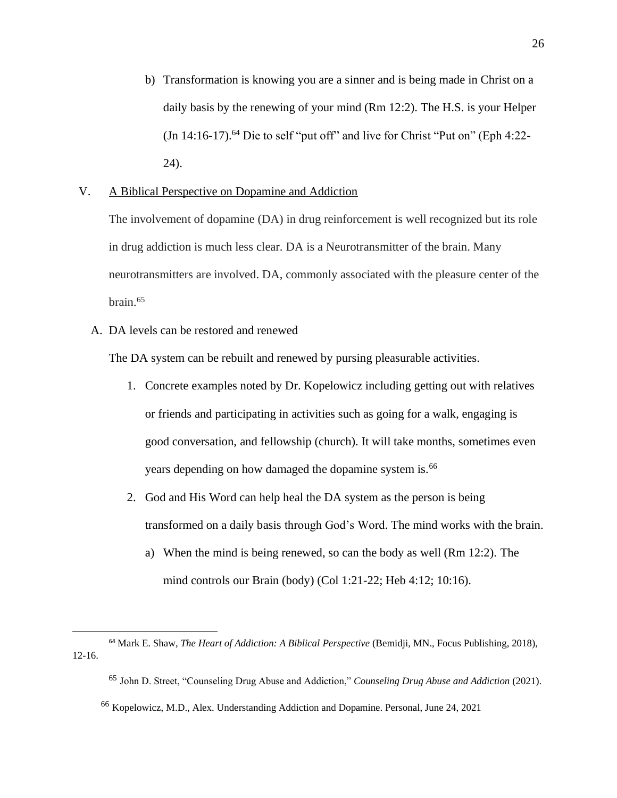b) Transformation is knowing you are a sinner and is being made in Christ on a daily basis by the renewing of your mind (Rm 12:2). The H.S. is your Helper (Jn  $14:16-17$ ).<sup>64</sup> Die to self "put off" and live for Christ "Put on" (Eph  $4:22-$ 24).

## V. A Biblical Perspective on Dopamine and Addiction

The involvement of dopamine (DA) in drug reinforcement is well recognized but its role in drug addiction is much less clear. DA is a Neurotransmitter of the brain. Many neurotransmitters are involved. DA, commonly associated with the pleasure center of the brain. $65$ 

A. DA levels can be restored and renewed

The DA system can be rebuilt and renewed by pursing pleasurable activities.

- 1. Concrete examples noted by Dr. Kopelowicz including getting out with relatives or friends and participating in activities such as going for a walk, engaging is good conversation, and fellowship (church). It will take months, sometimes even years depending on how damaged the dopamine system is.<sup>66</sup>
- 2. God and His Word can help heal the DA system as the person is being transformed on a daily basis through God's Word. The mind works with the brain.
	- a) When the mind is being renewed, so can the body as well (Rm 12:2). The mind controls our Brain (body) (Col 1:21-22; Heb 4:12; 10:16).

<sup>64</sup> Mark E. Shaw, *The Heart of Addiction: A Biblical Perspective* (Bemidji, MN., Focus Publishing, 2018), 12-16.

<sup>65</sup> John D. Street, "Counseling Drug Abuse and Addiction," *Counseling Drug Abuse and Addiction* (2021).

<sup>66</sup> Kopelowicz, M.D., Alex. Understanding Addiction and Dopamine. Personal, June 24, 2021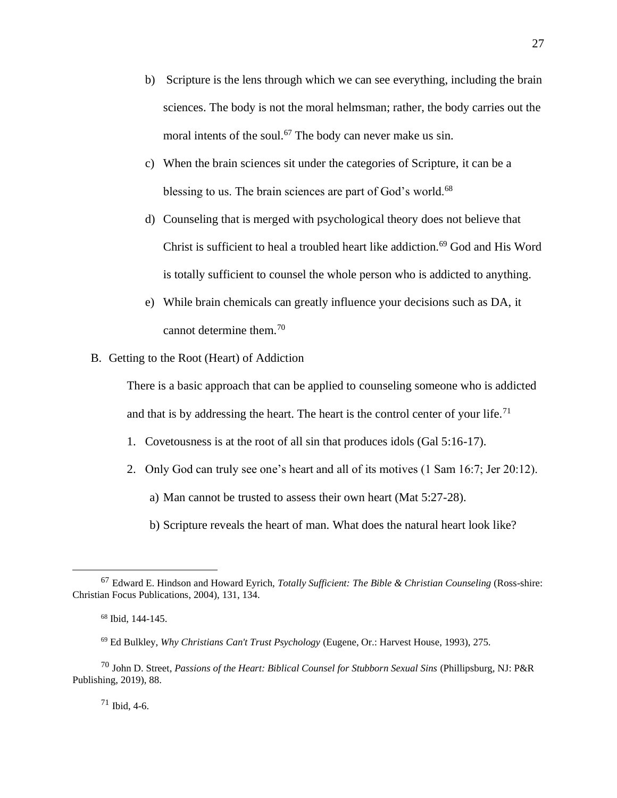- b) Scripture is the lens through which we can see everything, including the brain sciences. The body is not the moral helmsman; rather, the body carries out the moral intents of the soul.<sup>67</sup> The body can never make us sin.
- c) When the brain sciences sit under the categories of Scripture, it can be a blessing to us. The brain sciences are part of God's world.<sup>68</sup>
- d) Counseling that is merged with psychological theory does not believe that Christ is sufficient to heal a troubled heart like addiction.<sup>69</sup> God and His Word is totally sufficient to counsel the whole person who is addicted to anything.
- e) While brain chemicals can greatly influence your decisions such as DA, it cannot determine them.<sup>70</sup>
- B. Getting to the Root (Heart) of Addiction

There is a basic approach that can be applied to counseling someone who is addicted and that is by addressing the heart. The heart is the control center of your life.<sup>71</sup>

- 1. Covetousness is at the root of all sin that produces idols (Gal 5:16-17).
- 2. Only God can truly see one's heart and all of its motives (1 Sam 16:7; Jer 20:12).

a) Man cannot be trusted to assess their own heart (Mat 5:27-28).

b) Scripture reveals the heart of man. What does the natural heart look like?

<sup>71</sup> Ibid, 4-6.

<sup>67</sup> Edward E. Hindson and Howard Eyrich, *Totally Sufficient: The Bible & Christian Counseling* (Ross-shire: Christian Focus Publications, 2004), 131, 134.

<sup>68</sup> Ibid, 144-145.

<sup>69</sup> Ed Bulkley, *Why Christians Can't Trust Psychology* (Eugene, Or.: Harvest House, 1993), 275.

<sup>70</sup> John D. Street, *Passions of the Heart: Biblical Counsel for Stubborn Sexual Sins* (Phillipsburg, NJ: P&R Publishing, 2019), 88.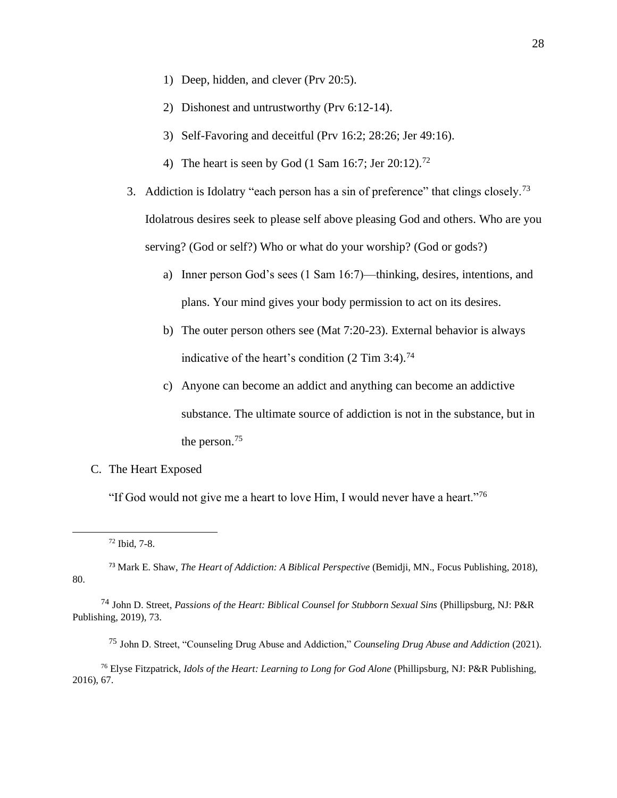- 1) Deep, hidden, and clever (Prv 20:5).
- 2) Dishonest and untrustworthy (Prv 6:12-14).
- 3) Self-Favoring and deceitful (Prv 16:2; 28:26; Jer 49:16).
- 4) The heart is seen by God  $(1 \text{ Sam } 16:7; \text{Jer } 20:12).$ <sup>72</sup>
- 3. Addiction is Idolatry "each person has a sin of preference" that clings closely.<sup>73</sup> Idolatrous desires seek to please self above pleasing God and others. Who are you serving? (God or self?) Who or what do your worship? (God or gods?)
	- a) Inner person God's sees (1 Sam 16:7)—thinking, desires, intentions, and plans. Your mind gives your body permission to act on its desires.
	- b) The outer person others see (Mat 7:20-23). External behavior is always indicative of the heart's condition (2 Tim 3:4). 74
	- c) Anyone can become an addict and anything can become an addictive substance. The ultimate source of addiction is not in the substance, but in the person.<sup>75</sup>
- C. The Heart Exposed

"If God would not give me a heart to love Him, I would never have a heart."<sup>76</sup>

- <sup>73</sup> Mark E. Shaw, *The Heart of Addiction: A Biblical Perspective* (Bemidji, MN., Focus Publishing, 2018), 80.
- <sup>74</sup> John D. Street, *Passions of the Heart: Biblical Counsel for Stubborn Sexual Sins* (Phillipsburg, NJ: P&R Publishing, 2019), 73.
	- <sup>75</sup> John D. Street, "Counseling Drug Abuse and Addiction," *Counseling Drug Abuse and Addiction* (2021).

<sup>76</sup> Elyse Fitzpatrick, *Idols of the Heart: Learning to Long for God Alone* (Phillipsburg, NJ: P&R Publishing, 2016), 67.

<sup>72</sup> Ibid, 7-8.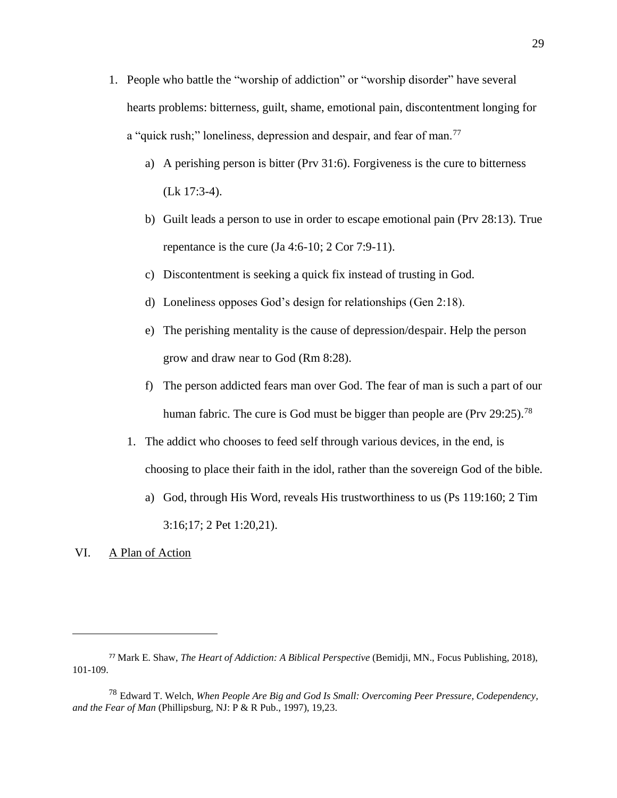- 1. People who battle the "worship of addiction" or "worship disorder" have several hearts problems: bitterness, guilt, shame, emotional pain, discontentment longing for a "quick rush;" loneliness, depression and despair, and fear of man.<sup>77</sup>
	- a) A perishing person is bitter (Prv 31:6). Forgiveness is the cure to bitterness (Lk 17:3-4).
	- b) Guilt leads a person to use in order to escape emotional pain (Prv 28:13). True repentance is the cure  $(Ja 4:6-10; 2 Cor 7:9-11)$ .
	- c) Discontentment is seeking a quick fix instead of trusting in God.
	- d) Loneliness opposes God's design for relationships (Gen 2:18).
	- e) The perishing mentality is the cause of depression/despair. Help the person grow and draw near to God (Rm 8:28).
	- f) The person addicted fears man over God. The fear of man is such a part of our human fabric. The cure is God must be bigger than people are (Prv 29:25).<sup>78</sup>
	- 1. The addict who chooses to feed self through various devices, in the end, is choosing to place their faith in the idol, rather than the sovereign God of the bible.
		- a) God, through His Word, reveals His trustworthiness to us (Ps 119:160; 2 Tim 3:16;17; 2 Pet 1:20,21).

#### VI. A Plan of Action

<sup>77</sup> Mark E. Shaw, *The Heart of Addiction: A Biblical Perspective* (Bemidji, MN., Focus Publishing, 2018), 101-109.

<sup>78</sup> Edward T. Welch, *When People Are Big and God Is Small: Overcoming Peer Pressure, Codependency, and the Fear of Man* (Phillipsburg, NJ: P & R Pub., 1997), 19,23.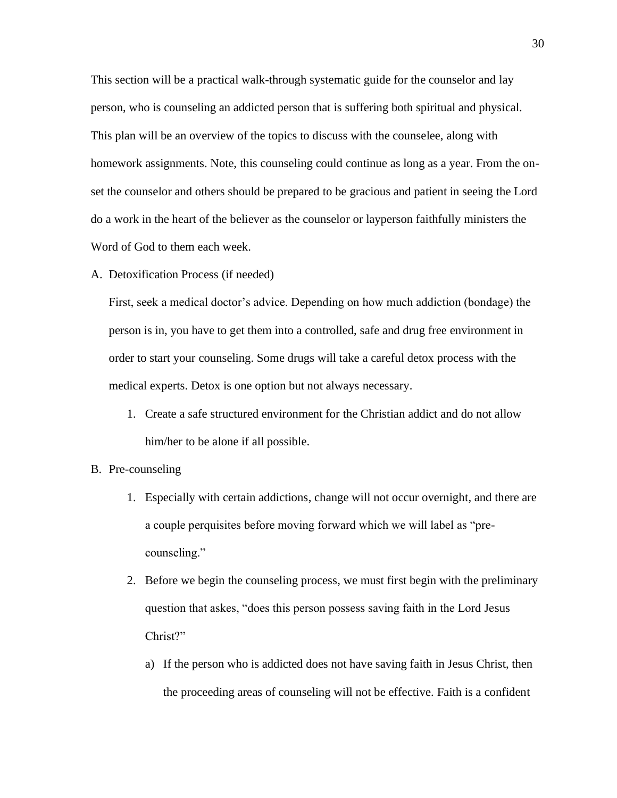This section will be a practical walk-through systematic guide for the counselor and lay person, who is counseling an addicted person that is suffering both spiritual and physical. This plan will be an overview of the topics to discuss with the counselee, along with homework assignments. Note, this counseling could continue as long as a year. From the onset the counselor and others should be prepared to be gracious and patient in seeing the Lord do a work in the heart of the believer as the counselor or layperson faithfully ministers the Word of God to them each week.

A. Detoxification Process (if needed)

First, seek a medical doctor's advice. Depending on how much addiction (bondage) the person is in, you have to get them into a controlled, safe and drug free environment in order to start your counseling. Some drugs will take a careful detox process with the medical experts. Detox is one option but not always necessary.

- 1. Create a safe structured environment for the Christian addict and do not allow him/her to be alone if all possible.
- B. Pre-counseling
	- 1. Especially with certain addictions, change will not occur overnight, and there are a couple perquisites before moving forward which we will label as "precounseling."
	- 2. Before we begin the counseling process, we must first begin with the preliminary question that askes, "does this person possess saving faith in the Lord Jesus Christ?"
		- a) If the person who is addicted does not have saving faith in Jesus Christ, then the proceeding areas of counseling will not be effective. Faith is a confident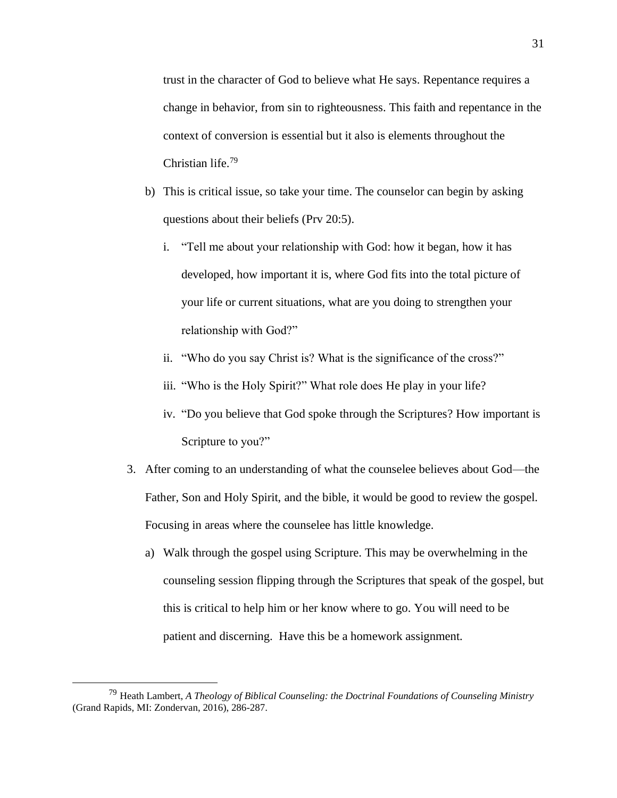trust in the character of God to believe what He says. Repentance requires a change in behavior, from sin to righteousness. This faith and repentance in the context of conversion is essential but it also is elements throughout the Christian life.<sup>79</sup>

- b) This is critical issue, so take your time. The counselor can begin by asking questions about their beliefs (Prv 20:5).
	- i. "Tell me about your relationship with God: how it began, how it has developed, how important it is, where God fits into the total picture of your life or current situations, what are you doing to strengthen your relationship with God?"
	- ii. "Who do you say Christ is? What is the significance of the cross?"
	- iii. "Who is the Holy Spirit?" What role does He play in your life?
	- iv. "Do you believe that God spoke through the Scriptures? How important is Scripture to you?"
- 3. After coming to an understanding of what the counselee believes about God—the Father, Son and Holy Spirit, and the bible, it would be good to review the gospel. Focusing in areas where the counselee has little knowledge.
	- a) Walk through the gospel using Scripture. This may be overwhelming in the counseling session flipping through the Scriptures that speak of the gospel, but this is critical to help him or her know where to go. You will need to be patient and discerning. Have this be a homework assignment.

<sup>79</sup> Heath Lambert, *A Theology of Biblical Counseling: the Doctrinal Foundations of Counseling Ministry* (Grand Rapids, MI: Zondervan, 2016), 286-287.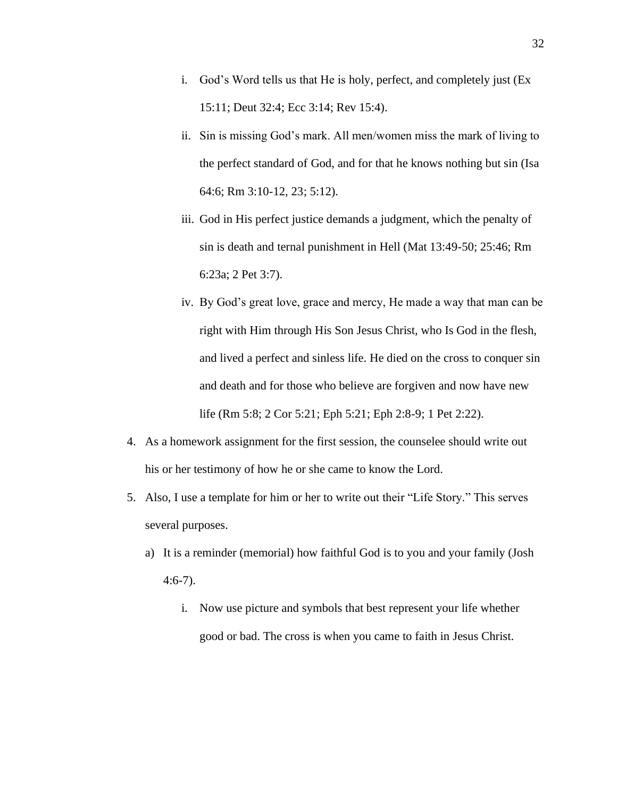- i. God's Word tells us that He is holy, perfect, and completely just (Ex 15:11; Deut 32:4; Ecc 3:14; Rev 15:4).
- ii. Sin is missing God's mark. All men/women miss the mark of living to the perfect standard of God, and for that he knows nothing but sin (Isa 64:6; Rm 3:10-12, 23; 5:12).
- iii. God in His perfect justice demands a judgment, which the penalty of sin is death and ternal punishment in Hell (Mat 13:49-50; 25:46; Rm 6:23a; 2 Pet 3:7).
- iv. By God's great love, grace and mercy, He made a way that man can be right with Him through His Son Jesus Christ, who Is God in the flesh, and lived a perfect and sinless life. He died on the cross to conquer sin and death and for those who believe are forgiven and now have new life (Rm 5:8; 2 Cor 5:21; Eph 5:21; Eph 2:8-9; 1 Pet 2:22).
- 4. As a homework assignment for the first session, the counselee should write out his or her testimony of how he or she came to know the Lord.
- 5. Also, I use a template for him or her to write out their "Life Story." This serves several purposes.
	- a) It is a reminder (memorial) how faithful God is to you and your family (Josh 4:6-7).
		- i. Now use picture and symbols that best represent your life whether good or bad. The cross is when you came to faith in Jesus Christ.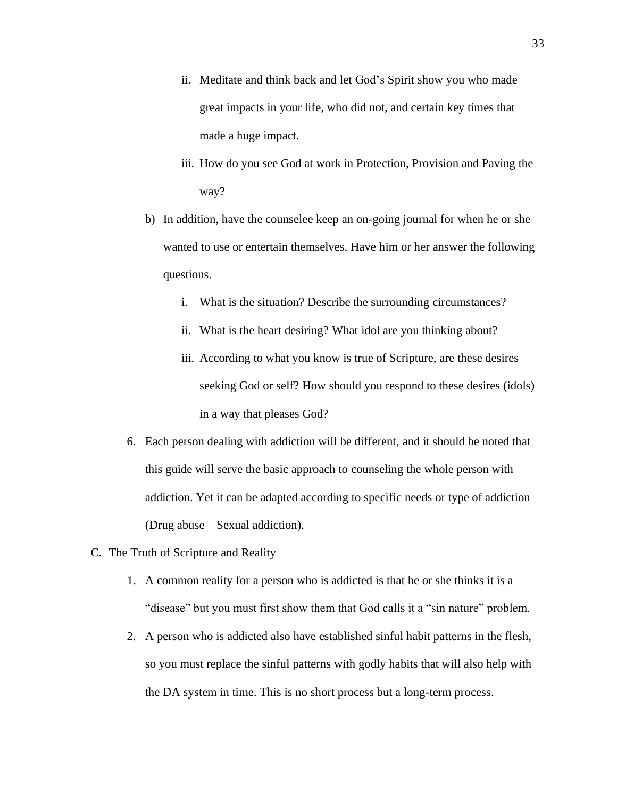- ii. Meditate and think back and let God's Spirit show you who made great impacts in your life, who did not, and certain key times that made a huge impact.
- iii. How do you see God at work in Protection, Provision and Paving the way?
- b) In addition, have the counselee keep an on-going journal for when he or she wanted to use or entertain themselves. Have him or her answer the following questions.
	- i. What is the situation? Describe the surrounding circumstances?
	- ii. What is the heart desiring? What idol are you thinking about?
	- iii. According to what you know is true of Scripture, are these desires seeking God or self? How should you respond to these desires (idols) in a way that pleases God?
- 6. Each person dealing with addiction will be different, and it should be noted that this guide will serve the basic approach to counseling the whole person with addiction. Yet it can be adapted according to specific needs or type of addiction (Drug abuse – Sexual addiction).
- C. The Truth of Scripture and Reality
	- 1. A common reality for a person who is addicted is that he or she thinks it is a "disease" but you must first show them that God calls it a "sin nature" problem.
	- 2. A person who is addicted also have established sinful habit patterns in the flesh, so you must replace the sinful patterns with godly habits that will also help with the DA system in time. This is no short process but a long-term process.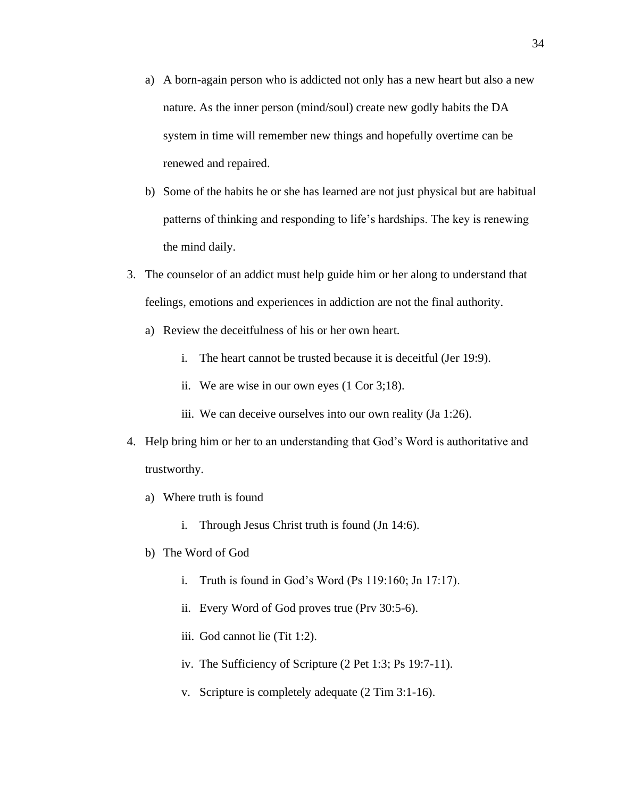- a) A born-again person who is addicted not only has a new heart but also a new nature. As the inner person (mind/soul) create new godly habits the DA system in time will remember new things and hopefully overtime can be renewed and repaired.
- b) Some of the habits he or she has learned are not just physical but are habitual patterns of thinking and responding to life's hardships. The key is renewing the mind daily.
- 3. The counselor of an addict must help guide him or her along to understand that feelings, emotions and experiences in addiction are not the final authority.
	- a) Review the deceitfulness of his or her own heart.
		- i. The heart cannot be trusted because it is deceitful (Jer 19:9).
		- ii. We are wise in our own eyes (1 Cor 3;18).
		- iii. We can deceive ourselves into our own reality (Ja 1:26).
- 4. Help bring him or her to an understanding that God's Word is authoritative and trustworthy.
	- a) Where truth is found
		- i. Through Jesus Christ truth is found (Jn 14:6).
	- b) The Word of God
		- i. Truth is found in God's Word (Ps 119:160; Jn 17:17).
		- ii. Every Word of God proves true (Prv 30:5-6).
		- iii. God cannot lie (Tit 1:2).
		- iv. The Sufficiency of Scripture (2 Pet 1:3; Ps 19:7-11).
		- v. Scripture is completely adequate (2 Tim 3:1-16).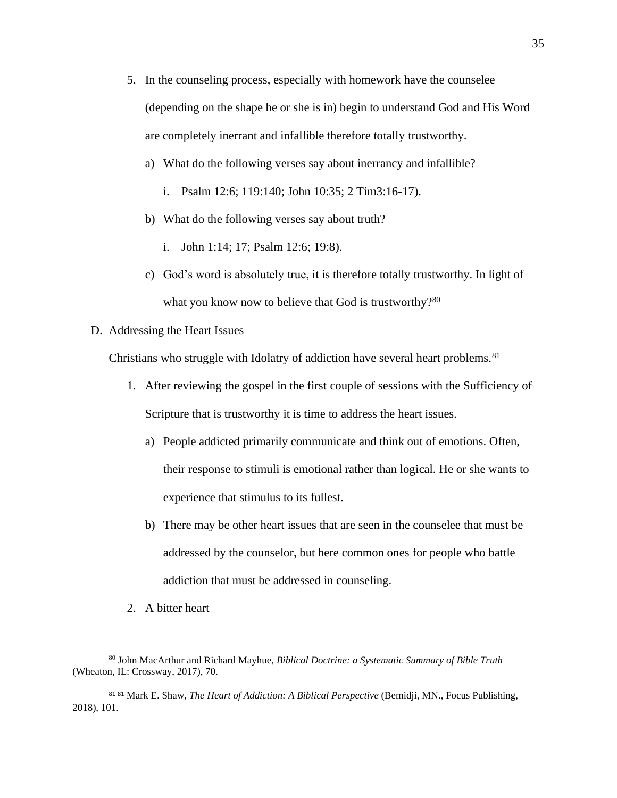- 5. In the counseling process, especially with homework have the counselee (depending on the shape he or she is in) begin to understand God and His Word are completely inerrant and infallible therefore totally trustworthy.
	- a) What do the following verses say about inerrancy and infallible?
		- i. Psalm 12:6; 119:140; John 10:35; 2 Tim3:16-17).
	- b) What do the following verses say about truth?
		- i. John 1:14; 17; Psalm 12:6; 19:8).
	- c) God's word is absolutely true, it is therefore totally trustworthy. In light of what you know now to believe that God is trustworthy?<sup>80</sup>
- D. Addressing the Heart Issues

Christians who struggle with Idolatry of addiction have several heart problems.<sup>81</sup>

- 1. After reviewing the gospel in the first couple of sessions with the Sufficiency of Scripture that is trustworthy it is time to address the heart issues.
	- a) People addicted primarily communicate and think out of emotions. Often, their response to stimuli is emotional rather than logical. He or she wants to experience that stimulus to its fullest.
	- b) There may be other heart issues that are seen in the counselee that must be addressed by the counselor, but here common ones for people who battle addiction that must be addressed in counseling.
- 2. A bitter heart

<sup>80</sup> John MacArthur and Richard Mayhue, *Biblical Doctrine: a Systematic Summary of Bible Truth* (Wheaton, IL: Crossway, 2017), 70.

<sup>81</sup> <sup>81</sup> Mark E. Shaw, *The Heart of Addiction: A Biblical Perspective* (Bemidji, MN., Focus Publishing, 2018), 101.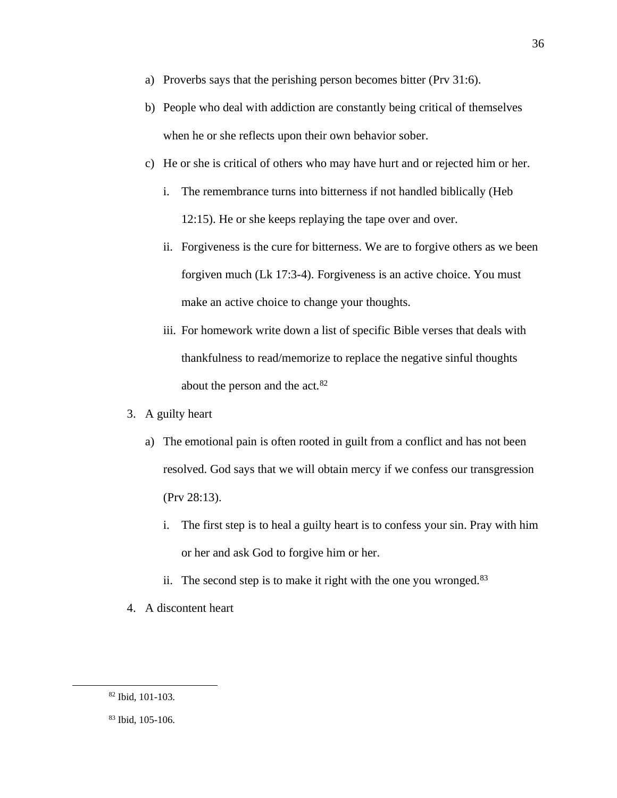- a) Proverbs says that the perishing person becomes bitter (Prv 31:6).
- b) People who deal with addiction are constantly being critical of themselves when he or she reflects upon their own behavior sober.
- c) He or she is critical of others who may have hurt and or rejected him or her.
	- i. The remembrance turns into bitterness if not handled biblically (Heb 12:15). He or she keeps replaying the tape over and over.
	- ii. Forgiveness is the cure for bitterness. We are to forgive others as we been forgiven much (Lk 17:3-4). Forgiveness is an active choice. You must make an active choice to change your thoughts.
	- iii. For homework write down a list of specific Bible verses that deals with thankfulness to read/memorize to replace the negative sinful thoughts about the person and the act.<sup>82</sup>
- 3. A guilty heart
	- a) The emotional pain is often rooted in guilt from a conflict and has not been resolved. God says that we will obtain mercy if we confess our transgression (Prv 28:13).
		- i. The first step is to heal a guilty heart is to confess your sin. Pray with him or her and ask God to forgive him or her.
		- ii. The second step is to make it right with the one you wronged. $83$
- 4. A discontent heart

<sup>82</sup> Ibid, 101-103.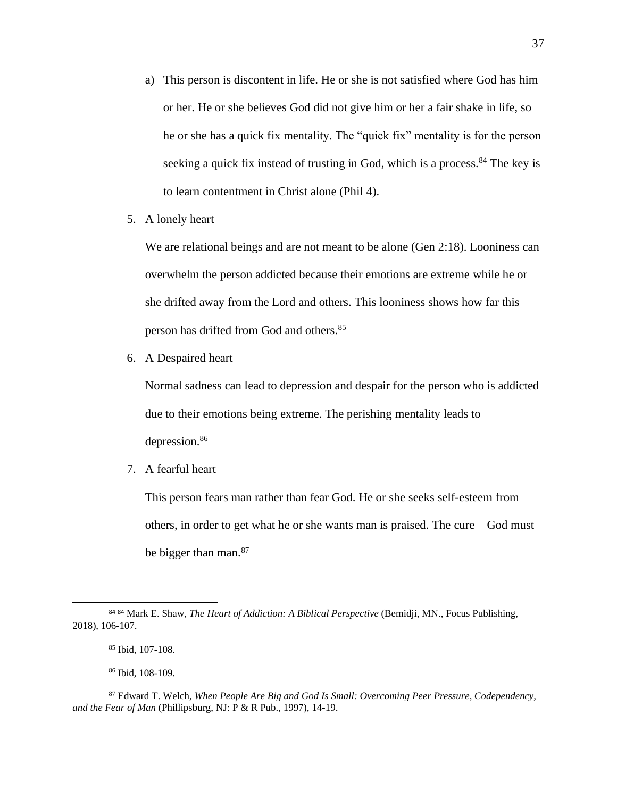- a) This person is discontent in life. He or she is not satisfied where God has him or her. He or she believes God did not give him or her a fair shake in life, so he or she has a quick fix mentality. The "quick fix" mentality is for the person seeking a quick fix instead of trusting in God, which is a process.<sup>84</sup> The key is to learn contentment in Christ alone (Phil 4).
- 5. A lonely heart

We are relational beings and are not meant to be alone (Gen 2:18). Looniness can overwhelm the person addicted because their emotions are extreme while he or she drifted away from the Lord and others. This looniness shows how far this person has drifted from God and others.<sup>85</sup>

6. A Despaired heart

Normal sadness can lead to depression and despair for the person who is addicted due to their emotions being extreme. The perishing mentality leads to depression.<sup>86</sup>

7. A fearful heart

This person fears man rather than fear God. He or she seeks self-esteem from others, in order to get what he or she wants man is praised. The cure—God must be bigger than man.<sup>87</sup>

<sup>84</sup> <sup>84</sup> Mark E. Shaw, *The Heart of Addiction: A Biblical Perspective* (Bemidji, MN., Focus Publishing, 2018), 106-107.

<sup>85</sup> Ibid, 107-108.

<sup>86</sup> Ibid, 108-109.

<sup>87</sup> Edward T. Welch, *When People Are Big and God Is Small: Overcoming Peer Pressure, Codependency, and the Fear of Man* (Phillipsburg, NJ: P & R Pub., 1997), 14-19.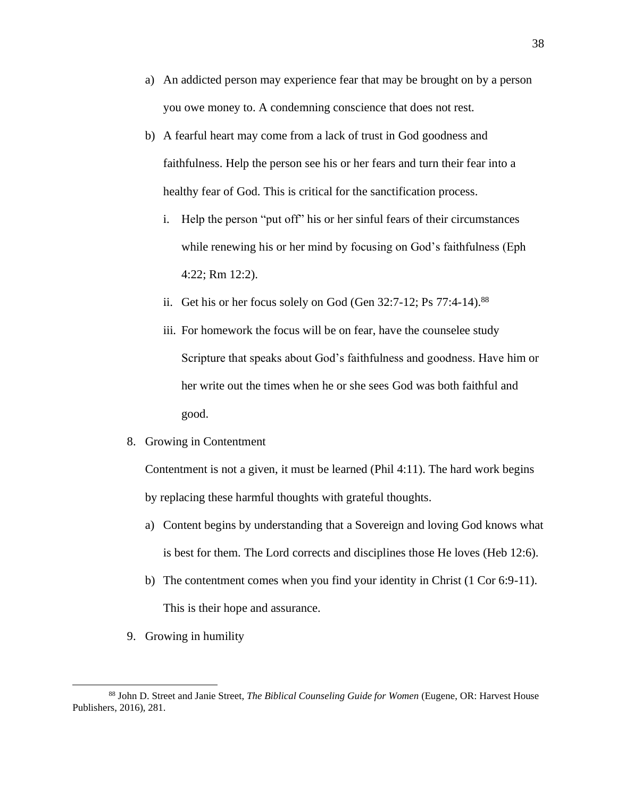- a) An addicted person may experience fear that may be brought on by a person you owe money to. A condemning conscience that does not rest.
- b) A fearful heart may come from a lack of trust in God goodness and faithfulness. Help the person see his or her fears and turn their fear into a healthy fear of God. This is critical for the sanctification process.
	- i. Help the person "put off" his or her sinful fears of their circumstances while renewing his or her mind by focusing on God's faithfulness (Eph 4:22; Rm 12:2).
	- ii. Get his or her focus solely on God (Gen  $32:7-12$ ; Ps  $77:4-14$ ).<sup>88</sup>
	- iii. For homework the focus will be on fear, have the counselee study Scripture that speaks about God's faithfulness and goodness. Have him or her write out the times when he or she sees God was both faithful and good.
- 8. Growing in Contentment

Contentment is not a given, it must be learned (Phil 4:11). The hard work begins by replacing these harmful thoughts with grateful thoughts.

- a) Content begins by understanding that a Sovereign and loving God knows what is best for them. The Lord corrects and disciplines those He loves (Heb 12:6).
- b) The contentment comes when you find your identity in Christ (1 Cor 6:9-11). This is their hope and assurance.
- 9. Growing in humility

<sup>88</sup> John D. Street and Janie Street, *The Biblical Counseling Guide for Women* (Eugene, OR: Harvest House Publishers, 2016), 281.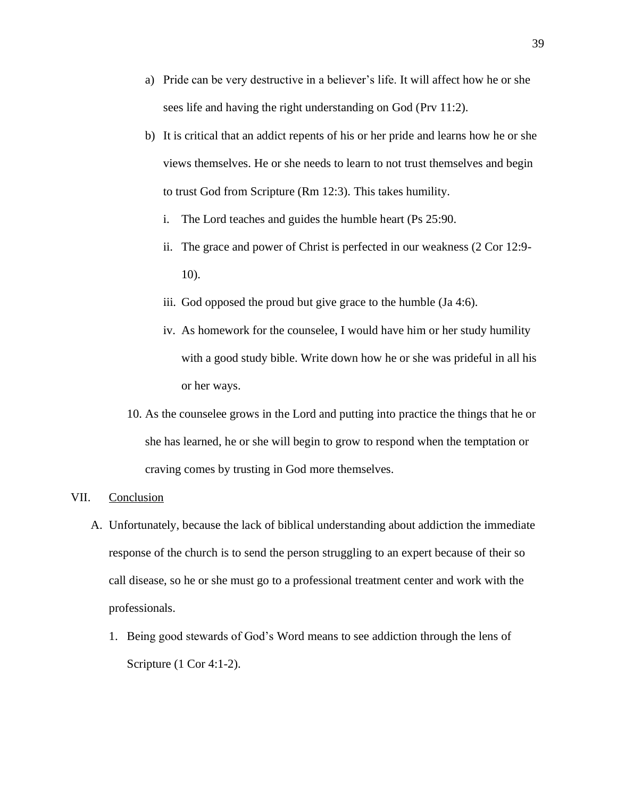- a) Pride can be very destructive in a believer's life. It will affect how he or she sees life and having the right understanding on God (Prv 11:2).
- b) It is critical that an addict repents of his or her pride and learns how he or she views themselves. He or she needs to learn to not trust themselves and begin to trust God from Scripture (Rm 12:3). This takes humility.
	- i. The Lord teaches and guides the humble heart (Ps 25:90.
	- ii. The grace and power of Christ is perfected in our weakness (2 Cor 12:9- 10).
	- iii. God opposed the proud but give grace to the humble (Ja 4:6).
	- iv. As homework for the counselee, I would have him or her study humility with a good study bible. Write down how he or she was prideful in all his or her ways.
- 10. As the counselee grows in the Lord and putting into practice the things that he or she has learned, he or she will begin to grow to respond when the temptation or craving comes by trusting in God more themselves.

#### VII. Conclusion

- A. Unfortunately, because the lack of biblical understanding about addiction the immediate response of the church is to send the person struggling to an expert because of their so call disease, so he or she must go to a professional treatment center and work with the professionals.
	- 1. Being good stewards of God's Word means to see addiction through the lens of Scripture (1 Cor 4:1-2).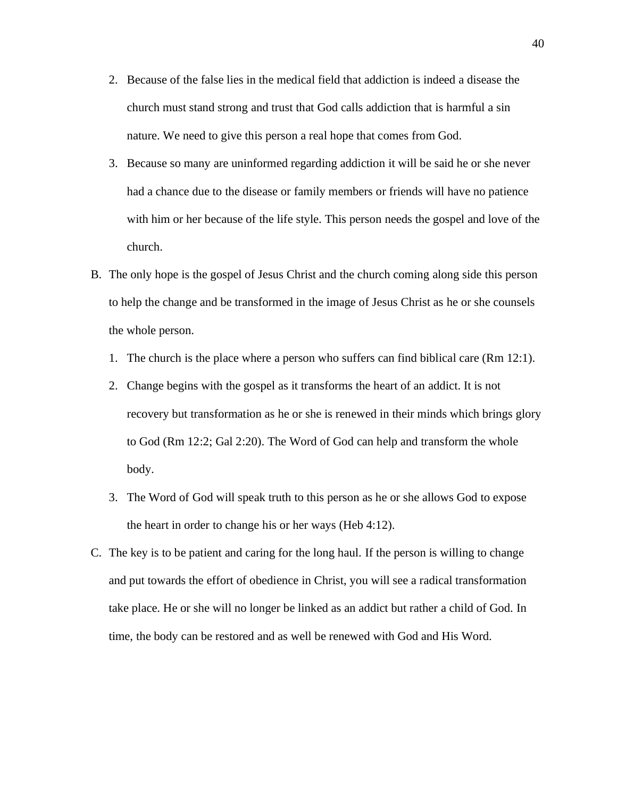- 2. Because of the false lies in the medical field that addiction is indeed a disease the church must stand strong and trust that God calls addiction that is harmful a sin nature. We need to give this person a real hope that comes from God.
- 3. Because so many are uninformed regarding addiction it will be said he or she never had a chance due to the disease or family members or friends will have no patience with him or her because of the life style. This person needs the gospel and love of the church.
- B. The only hope is the gospel of Jesus Christ and the church coming along side this person to help the change and be transformed in the image of Jesus Christ as he or she counsels the whole person.
	- 1. The church is the place where a person who suffers can find biblical care (Rm 12:1).
	- 2. Change begins with the gospel as it transforms the heart of an addict. It is not recovery but transformation as he or she is renewed in their minds which brings glory to God (Rm 12:2; Gal 2:20). The Word of God can help and transform the whole body.
	- 3. The Word of God will speak truth to this person as he or she allows God to expose the heart in order to change his or her ways (Heb 4:12).
- C. The key is to be patient and caring for the long haul. If the person is willing to change and put towards the effort of obedience in Christ, you will see a radical transformation take place. He or she will no longer be linked as an addict but rather a child of God. In time, the body can be restored and as well be renewed with God and His Word.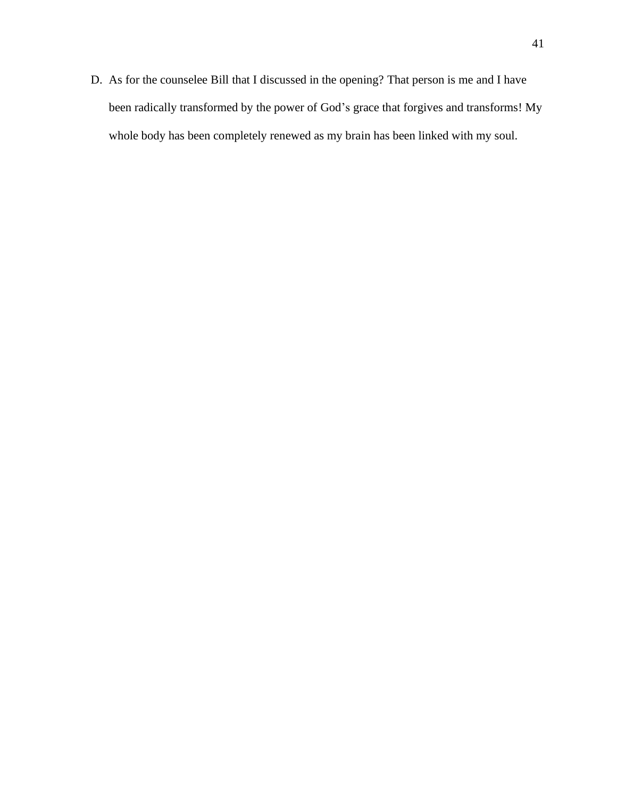D. As for the counselee Bill that I discussed in the opening? That person is me and I have been radically transformed by the power of God's grace that forgives and transforms! My whole body has been completely renewed as my brain has been linked with my soul.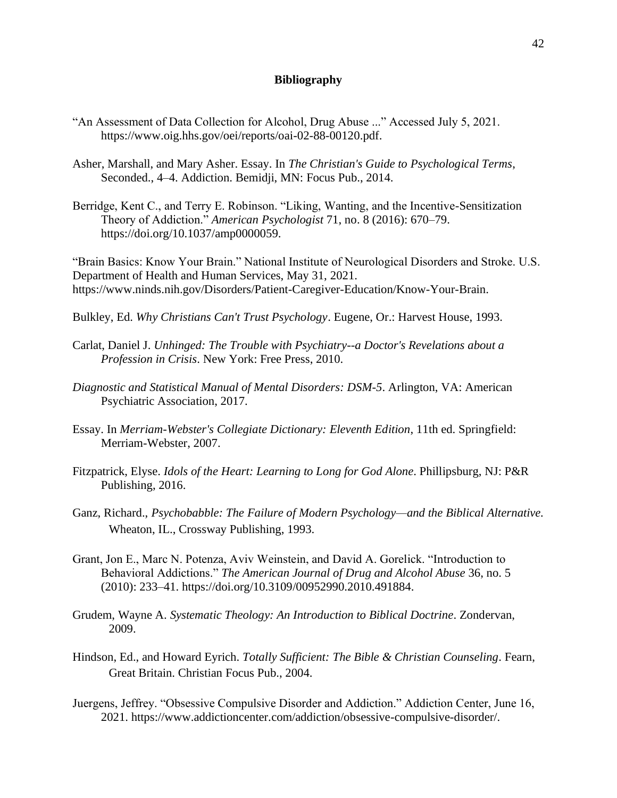## **Bibliography**

- "An Assessment of Data Collection for Alcohol, Drug Abuse ..." Accessed July 5, 2021. https://www.oig.hhs.gov/oei/reports/oai-02-88-00120.pdf.
- Asher, Marshall, and Mary Asher. Essay. In *The Christian's Guide to Psychological Terms*, Seconded., 4–4. Addiction. Bemidji, MN: Focus Pub., 2014.
- Berridge, Kent C., and Terry E. Robinson. "Liking, Wanting, and the Incentive-Sensitization Theory of Addiction." *American Psychologist* 71, no. 8 (2016): 670–79. https://doi.org/10.1037/amp0000059.

"Brain Basics: Know Your Brain." National Institute of Neurological Disorders and Stroke. U.S. Department of Health and Human Services, May 31, 2021. https://www.ninds.nih.gov/Disorders/Patient-Caregiver-Education/Know-Your-Brain.

- Bulkley, Ed. *Why Christians Can't Trust Psychology*. Eugene, Or.: Harvest House, 1993.
- Carlat, Daniel J. *Unhinged: The Trouble with Psychiatry--a Doctor's Revelations about a Profession in Crisis*. New York: Free Press, 2010.
- *Diagnostic and Statistical Manual of Mental Disorders: DSM-5*. Arlington, VA: American Psychiatric Association, 2017.
- Essay. In *Merriam-Webster's Collegiate Dictionary: Eleventh Edition*, 11th ed. Springfield: Merriam-Webster, 2007.
- Fitzpatrick, Elyse. *Idols of the Heart: Learning to Long for God Alone*. Phillipsburg, NJ: P&R Publishing, 2016.
- Ganz, Richard., *Psychobabble: The Failure of Modern Psychology—and the Biblical Alternative.* Wheaton, IL., Crossway Publishing, 1993.
- Grant, Jon E., Marc N. Potenza, Aviv Weinstein, and David A. Gorelick. "Introduction to Behavioral Addictions." *The American Journal of Drug and Alcohol Abuse* 36, no. 5 (2010): 233–41. https://doi.org/10.3109/00952990.2010.491884.
- Grudem, Wayne A. *Systematic Theology: An Introduction to Biblical Doctrine*. Zondervan, 2009.
- Hindson, Ed., and Howard Eyrich. *Totally Sufficient: The Bible & Christian Counseling*. Fearn, Great Britain. Christian Focus Pub., 2004.
- Juergens, Jeffrey. "Obsessive Compulsive Disorder and Addiction." Addiction Center, June 16, 2021. https://www.addictioncenter.com/addiction/obsessive-compulsive-disorder/.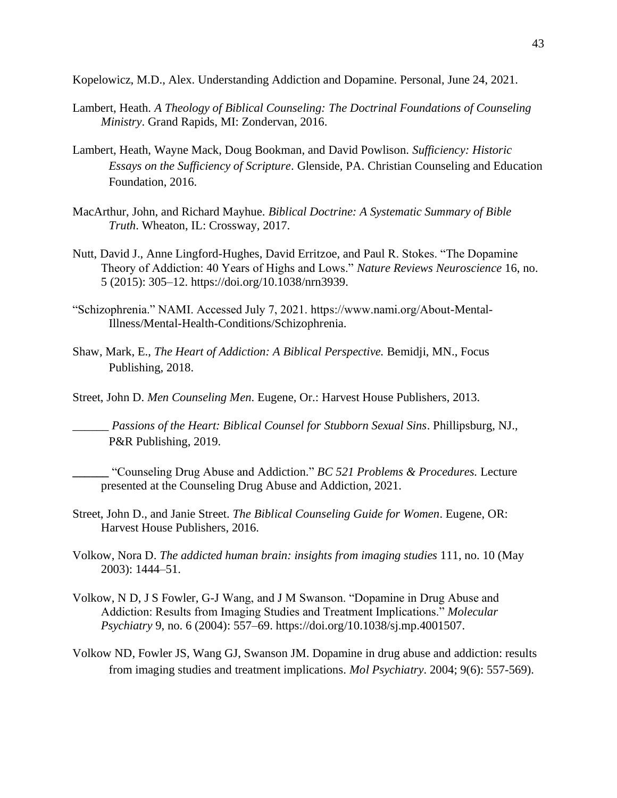Kopelowicz, M.D., Alex. Understanding Addiction and Dopamine. Personal, June 24, 2021.

- Lambert, Heath. *A Theology of Biblical Counseling: The Doctrinal Foundations of Counseling Ministry*. Grand Rapids, MI: Zondervan, 2016.
- Lambert, Heath, Wayne Mack, Doug Bookman, and David Powlison. *Sufficiency: Historic Essays on the Sufficiency of Scripture*. Glenside, PA. Christian Counseling and Education Foundation, 2016.
- MacArthur, John, and Richard Mayhue. *Biblical Doctrine: A Systematic Summary of Bible Truth*. Wheaton, IL: Crossway, 2017.
- Nutt, David J., Anne Lingford-Hughes, David Erritzoe, and Paul R. Stokes. "The Dopamine Theory of Addiction: 40 Years of Highs and Lows." *Nature Reviews Neuroscience* 16, no. 5 (2015): 305–12. https://doi.org/10.1038/nrn3939.
- "Schizophrenia." NAMI. Accessed July 7, 2021. https://www.nami.org/About-Mental-Illness/Mental-Health-Conditions/Schizophrenia.
- Shaw, Mark, E., *The Heart of Addiction: A Biblical Perspective.* Bemidji, MN., Focus Publishing, 2018.
- Street, John D. *Men Counseling Men*. Eugene, Or.: Harvest House Publishers, 2013.

\_\_\_\_\_\_ *Passions of the Heart: Biblical Counsel for Stubborn Sexual Sins*. Phillipsburg, NJ., P&R Publishing, 2019.

**\_\_\_\_\_\_** "Counseling Drug Abuse and Addiction." *BC 521 Problems & Procedures.* Lecture presented at the Counseling Drug Abuse and Addiction, 2021.

- Street, John D., and Janie Street. *The Biblical Counseling Guide for Women*. Eugene, OR: Harvest House Publishers, 2016.
- Volkow, Nora D. *The addicted human brain: insights from imaging studies* 111, no. 10 (May 2003): 1444–51.
- Volkow, N D, J S Fowler, G-J Wang, and J M Swanson. "Dopamine in Drug Abuse and Addiction: Results from Imaging Studies and Treatment Implications." *Molecular Psychiatry* 9, no. 6 (2004): 557–69. https://doi.org/10.1038/sj.mp.4001507.
- Volkow ND, Fowler JS, Wang GJ, Swanson JM. Dopamine in drug abuse and addiction: results from imaging studies and treatment implications. *Mol Psychiatry*. 2004; 9(6): 557-569).